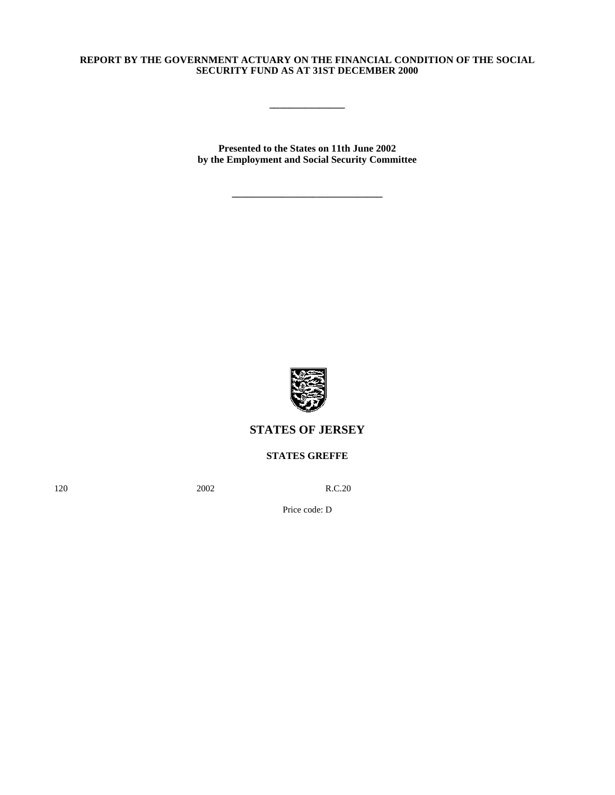# **REPORT BY THE GOVERNMENT ACTUARY ON THE FINANCIAL CONDITION OF THE SOCIAL SECURITY FUND AS AT 31ST DECEMBER 2000**

**\_\_\_\_\_\_\_\_\_\_\_\_\_\_\_**

**Presented to the States on 11th June 2002 by the Employment and Social Security Committee**

**\_\_\_\_\_\_\_\_\_\_\_\_\_\_\_\_\_\_\_\_\_\_\_\_\_\_\_\_\_\_**



# **STATES OF JERSEY**

# **STATES GREFFE**

120 **2002** R.C.20

Price code: D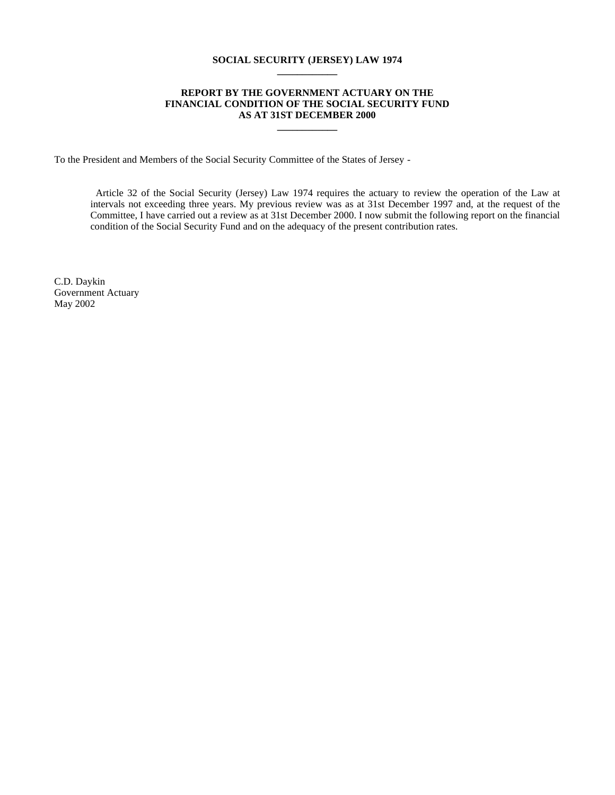#### **SOCIAL SECURITY (JERSEY) LAW 1974 \_\_\_\_\_\_\_\_\_\_\_\_**

#### **REPORT BY THE GOVERNMENT ACTUARY ON THE FINANCIAL CONDITION OF THE SOCIAL SECURITY FUND AS AT 31ST DECEMBER 2000**

**\_\_\_\_\_\_\_\_\_\_\_\_**

To the President and Members of the Social Security Committee of the States of Jersey -

 Article 32 of the Social Security (Jersey) Law 1974 requires the actuary to review the operation of the Law at intervals not exceeding three years. My previous review was as at 31st December 1997 and, at the request of the Committee, I have carried out a review as at 31st December 2000. I now submit the following report on the financial condition of the Social Security Fund and on the adequacy of the present contribution rates.

C.D. Daykin Government Actuary May 2002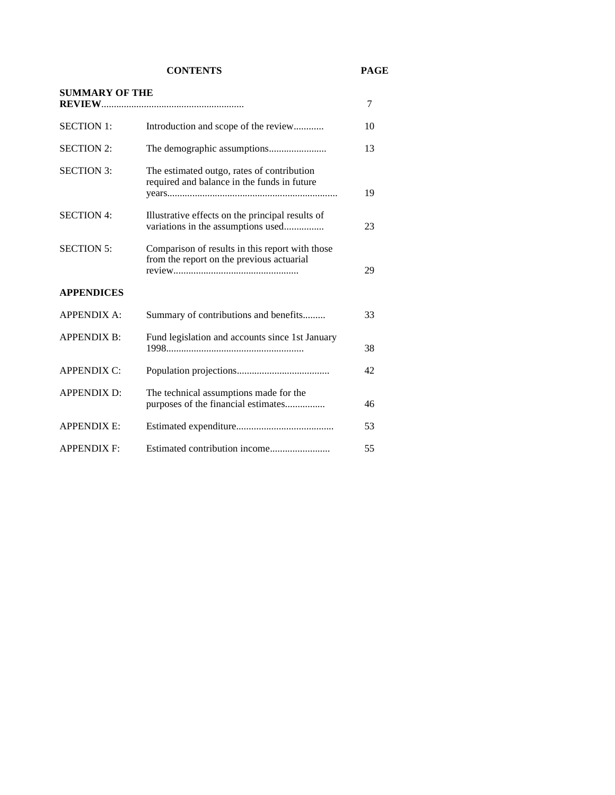**CONTENTS PAGE**

| <b>SUMMARY OF THE</b> |                                                                                              | 7  |
|-----------------------|----------------------------------------------------------------------------------------------|----|
|                       |                                                                                              |    |
| <b>SECTION 1:</b>     | Introduction and scope of the review                                                         | 10 |
| <b>SECTION 2:</b>     |                                                                                              | 13 |
| <b>SECTION 3:</b>     | The estimated outgo, rates of contribution<br>required and balance in the funds in future    | 19 |
| <b>SECTION 4:</b>     | Illustrative effects on the principal results of<br>variations in the assumptions used       | 23 |
| <b>SECTION 5:</b>     | Comparison of results in this report with those<br>from the report on the previous actuarial | 29 |
| <b>APPENDICES</b>     |                                                                                              |    |
| <b>APPENDIX A:</b>    | Summary of contributions and benefits                                                        | 33 |
| <b>APPENDIX B:</b>    | Fund legislation and accounts since 1st January                                              | 38 |
| <b>APPENDIX C:</b>    |                                                                                              | 42 |
| <b>APPENDIX D:</b>    | The technical assumptions made for the<br>purposes of the financial estimates                | 46 |
| <b>APPENDIX E:</b>    |                                                                                              | 53 |
| <b>APPENDIX F:</b>    |                                                                                              | 55 |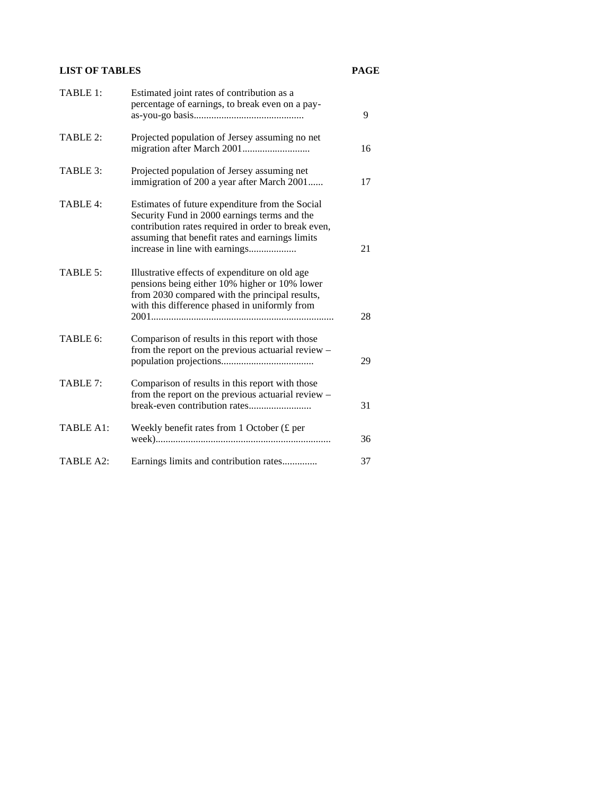# **LIST OF TABLES PAGE**

| TABLE 1:  | Estimated joint rates of contribution as a<br>percentage of earnings, to break even on a pay-                                                                                                                                               | 9  |
|-----------|---------------------------------------------------------------------------------------------------------------------------------------------------------------------------------------------------------------------------------------------|----|
| TABLE 2:  | Projected population of Jersey assuming no net                                                                                                                                                                                              | 16 |
| TABLE 3:  | Projected population of Jersey assuming net<br>immigration of 200 a year after March 2001                                                                                                                                                   | 17 |
| TABLE 4:  | Estimates of future expenditure from the Social<br>Security Fund in 2000 earnings terms and the<br>contribution rates required in order to break even,<br>assuming that benefit rates and earnings limits<br>increase in line with earnings | 21 |
| TABLE 5:  | Illustrative effects of expenditure on old age<br>pensions being either 10% higher or 10% lower<br>from 2030 compared with the principal results,<br>with this difference phased in uniformly from                                          | 28 |
| TABLE 6:  | Comparison of results in this report with those<br>from the report on the previous actuarial review -                                                                                                                                       | 29 |
| TABLE 7:  | Comparison of results in this report with those<br>from the report on the previous actuarial review -<br>break-even contribution rates                                                                                                      | 31 |
| TABLE A1: | Weekly benefit rates from 1 October $(f$ per                                                                                                                                                                                                | 36 |
| TABLE A2: | Earnings limits and contribution rates                                                                                                                                                                                                      | 37 |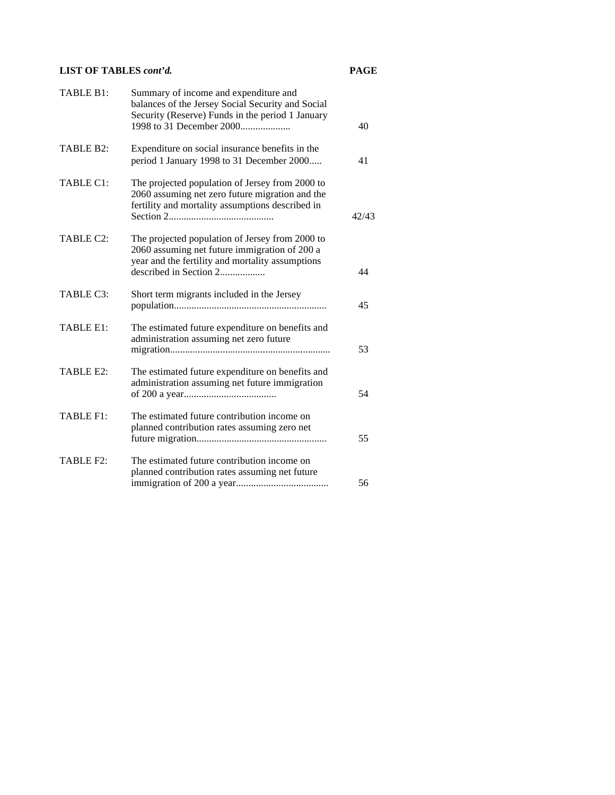# **LIST OF TABLES** *cont'd.* **PAGE**

| TABLE B1: | Summary of income and expenditure and<br>balances of the Jersey Social Security and Social<br>Security (Reserve) Funds in the period 1 January<br>1998 to 31 December 2000     | 40    |
|-----------|--------------------------------------------------------------------------------------------------------------------------------------------------------------------------------|-------|
| TABLE B2: | Expenditure on social insurance benefits in the<br>period 1 January 1998 to 31 December 2000                                                                                   | 41    |
| TABLE C1: | The projected population of Jersey from 2000 to<br>2060 assuming net zero future migration and the<br>fertility and mortality assumptions described in                         | 42/43 |
| TABLE C2: | The projected population of Jersey from 2000 to<br>2060 assuming net future immigration of 200 a<br>year and the fertility and mortality assumptions<br>described in Section 2 | 44    |
| TABLE C3: | Short term migrants included in the Jersey                                                                                                                                     | 45    |
| TABLE E1: | The estimated future expenditure on benefits and<br>administration assuming net zero future                                                                                    | 53    |
| TABLE E2: | The estimated future expenditure on benefits and<br>administration assuming net future immigration                                                                             | 54    |
| TABLE F1: | The estimated future contribution income on<br>planned contribution rates assuming zero net                                                                                    | 55    |
| TABLE F2: | The estimated future contribution income on<br>planned contribution rates assuming net future                                                                                  | 56    |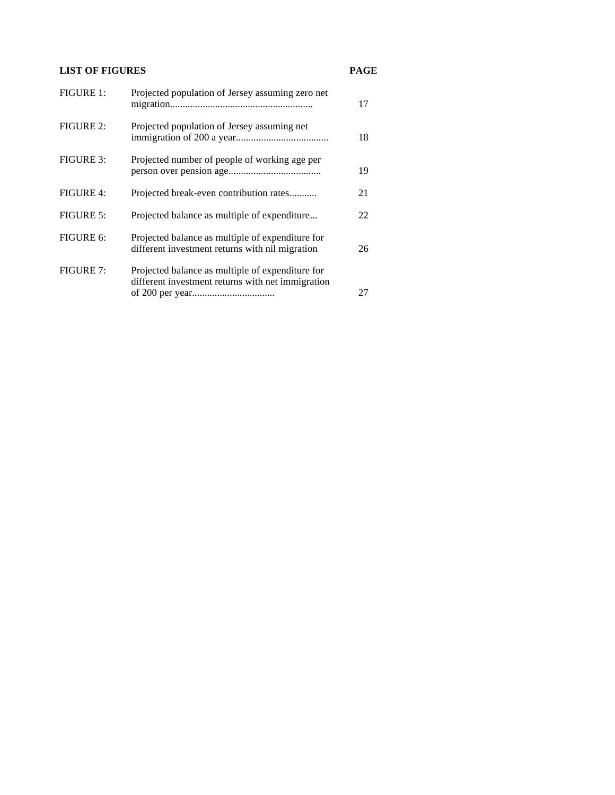# **LIST OF FIGURES PAGE**

| <b>FIGURE 1:</b> | Projected population of Jersey assuming zero net                                                      | 17 |
|------------------|-------------------------------------------------------------------------------------------------------|----|
| <b>FIGURE 2:</b> | Projected population of Jersey assuming net                                                           | 18 |
| <b>FIGURE 3:</b> | Projected number of people of working age per                                                         | 19 |
| <b>FIGURE 4:</b> | Projected break-even contribution rates                                                               | 21 |
| FIGURE 5:        | Projected balance as multiple of expenditure                                                          | 22 |
| FIGURE 6:        | Projected balance as multiple of expenditure for<br>different investment returns with nil migration   | 26 |
| <b>FIGURE 7:</b> | Projected balance as multiple of expenditure for<br>different investment returns with net immigration | 27 |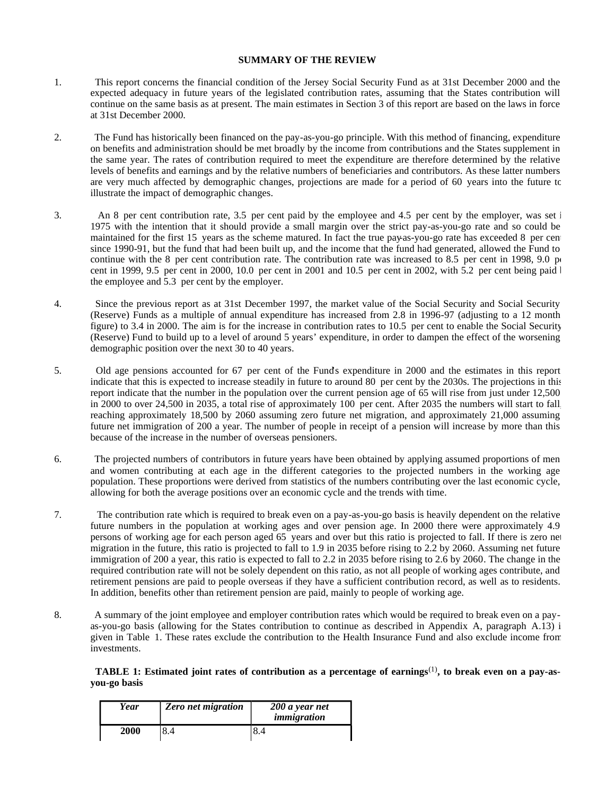#### **SUMMARY OF THE REVIEW**

- 1. This report concerns the financial condition of the Jersey Social Security Fund as at 31st December 2000 and the expected adequacy in future years of the legislated contribution rates, assuming that the States contribution will continue on the same basis as at present. The main estimates in Section 3 of this report are based on the laws in force at 31st December 2000.
- 2. The Fund has historically been financed on the pay-as-you-go principle. With this method of financing, expenditure on benefits and administration should be met broadly by the income from contributions and the States supplement in the same year. The rates of contribution required to meet the expenditure are therefore determined by the relative levels of benefits and earnings and by the relative numbers of beneficiaries and contributors. As these latter numbers are very much affected by demographic changes, projections are made for a period of 60 years into the future to illustrate the impact of demographic changes.
- 3. An 8 per cent contribution rate, 3.5 per cent paid by the employee and 4.5 per cent by the employer, was set in 1975 with the intention that it should provide a small margin over the strict pay-as-you-go rate and so could be maintained for the first 15 years as the scheme matured. In fact the true pay-as-you-go rate has exceeded 8 per cen since 1990-91, but the fund that had been built up, and the income that the fund had generated, allowed the Fund to continue with the 8 per cent contribution rate. The contribution rate was increased to 8.5 per cent in 1998, 9.0  $\mu$ cent in 1999, 9.5 per cent in 2000, 10.0 per cent in 2001 and 10.5 per cent in 2002, with 5.2 per cent being paid  $\vert$ the employee and 5.3 per cent by the employer.
- 4. Since the previous report as at 31st December 1997, the market value of the Social Security and Social Security (Reserve) Funds as a multiple of annual expenditure has increased from 2.8 in 1996-97 (adjusting to a 12 month figure) to 3.4 in 2000. The aim is for the increase in contribution rates to 10.5 per cent to enable the Social Security (Reserve) Fund to build up to a level of around 5 years' expenditure, in order to dampen the effect of the worsening demographic position over the next 30 to 40 years.
- 5. Old age pensions accounted for 67 per cent of the Funds expenditure in 2000 and the estimates in this report indicate that this is expected to increase steadily in future to around 80 per cent by the 2030s. The projections in this report indicate that the number in the population over the current pension age of 65 will rise from just under 12,500 in 2000 to over 24,500 in 2035, a total rise of approximately 100 per cent. After 2035 the numbers will start to fall, reaching approximately 18,500 by 2060 assuming zero future net migration, and approximately 21,000 assuming future net immigration of 200 a year. The number of people in receipt of a pension will increase by more than this because of the increase in the number of overseas pensioners.
- 6. The projected numbers of contributors in future years have been obtained by applying assumed proportions of men and women contributing at each age in the different categories to the projected numbers in the working age population. These proportions were derived from statistics of the numbers contributing over the last economic cycle, allowing for both the average positions over an economic cycle and the trends with time.
- 7. The contribution rate which is required to break even on a pay-as-you-go basis is heavily dependent on the relative future numbers in the population at working ages and over pension age. In 2000 there were approximately 4.9 persons of working age for each person aged 65 years and over but this ratio is projected to fall. If there is zero net migration in the future, this ratio is projected to fall to 1.9 in 2035 before rising to 2.2 by 2060. Assuming net future immigration of 200 a year, this ratio is expected to fall to 2.2 in 2035 before rising to 2.6 by 2060. The change in the required contribution rate will not be solely dependent on this ratio, as not all people of working ages contribute, and retirement pensions are paid to people overseas if they have a sufficient contribution record, as well as to residents. In addition, benefits other than retirement pension are paid, mainly to people of working age.
- 8. A summary of the joint employee and employer contribution rates which would be required to break even on a payas-you-go basis (allowing for the States contribution to continue as described in Appendix A, paragraph A.13) i given in Table 1. These rates exclude the contribution to the Health Insurance Fund and also exclude income from investments.

# **TABLE 1: Estimated joint rates of contribution as a percentage of earnings**(1)**, to break even on a pay-asyou-go basis**

| Year | <b>Zero</b> net migration | 200 a year net<br>immigration |
|------|---------------------------|-------------------------------|
| 2000 |                           | ∩.∼                           |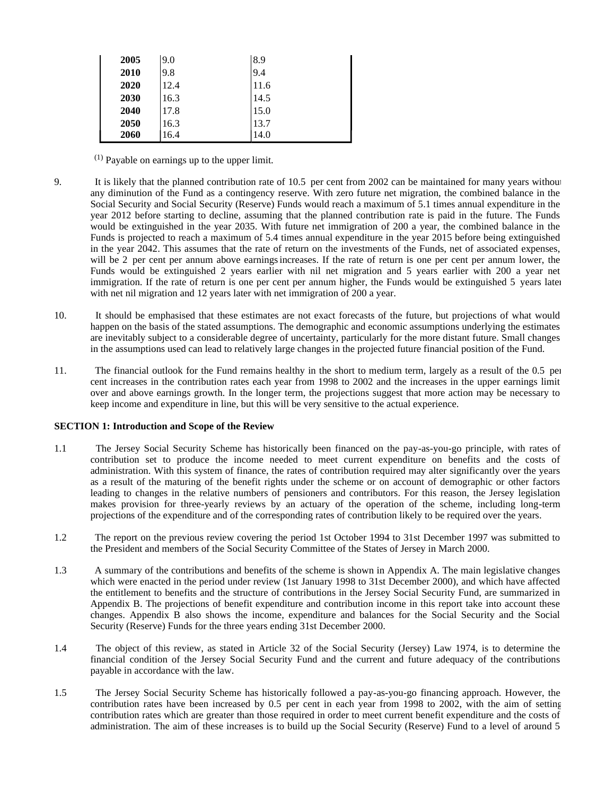| 2005 | 9.0  | 8.9  |
|------|------|------|
| 2010 | 9.8  | 9.4  |
| 2020 | 12.4 | 11.6 |
| 2030 | 16.3 | 14.5 |
| 2040 | 17.8 | 15.0 |
| 2050 | 16.3 | 13.7 |
| 2060 | 16.4 | 14.0 |

(1) Payable on earnings up to the upper limit.

- 9. It is likely that the planned contribution rate of 10.5 per cent from 2002 can be maintained for many years without any diminution of the Fund as a contingency reserve. With zero future net migration, the combined balance in the Social Security and Social Security (Reserve) Funds would reach a maximum of 5.1 times annual expenditure in the year 2012 before starting to decline, assuming that the planned contribution rate is paid in the future. The Funds would be extinguished in the year 2035. With future net immigration of 200 a year, the combined balance in the Funds is projected to reach a maximum of 5.4 times annual expenditure in the year 2015 before being extinguished in the year 2042. This assumes that the rate of return on the investments of the Funds, net of associated expenses, will be 2 per cent per annum above earnings increases. If the rate of return is one per cent per annum lower, the Funds would be extinguished 2 years earlier with nil net migration and 5 years earlier with 200 a year net immigration. If the rate of return is one per cent per annum higher, the Funds would be extinguished 5 years later with net nil migration and 12 years later with net immigration of 200 a year.
- 10. It should be emphasised that these estimates are not exact forecasts of the future, but projections of what would happen on the basis of the stated assumptions. The demographic and economic assumptions underlying the estimates are inevitably subject to a considerable degree of uncertainty, particularly for the more distant future. Small changes in the assumptions used can lead to relatively large changes in the projected future financial position of the Fund.
- 11. The financial outlook for the Fund remains healthy in the short to medium term, largely as a result of the 0.5 per cent increases in the contribution rates each year from 1998 to 2002 and the increases in the upper earnings limit over and above earnings growth. In the longer term, the projections suggest that more action may be necessary to keep income and expenditure in line, but this will be very sensitive to the actual experience.

#### **SECTION 1: Introduction and Scope of the Review**

- 1.1 The Jersey Social Security Scheme has historically been financed on the pay-as-you-go principle, with rates of contribution set to produce the income needed to meet current expenditure on benefits and the costs of administration. With this system of finance, the rates of contribution required may alter significantly over the years as a result of the maturing of the benefit rights under the scheme or on account of demographic or other factors leading to changes in the relative numbers of pensioners and contributors. For this reason, the Jersey legislation makes provision for three-yearly reviews by an actuary of the operation of the scheme, including long-term projections of the expenditure and of the corresponding rates of contribution likely to be required over the years.
- 1.2 The report on the previous review covering the period 1st October 1994 to 31st December 1997 was submitted to the President and members of the Social Security Committee of the States of Jersey in March 2000.
- 1.3 A summary of the contributions and benefits of the scheme is shown in Appendix A. The main legislative changes which were enacted in the period under review (1st January 1998 to 31st December 2000), and which have affected the entitlement to benefits and the structure of contributions in the Jersey Social Security Fund, are summarized in Appendix B. The projections of benefit expenditure and contribution income in this report take into account these changes. Appendix B also shows the income, expenditure and balances for the Social Security and the Social Security (Reserve) Funds for the three years ending 31st December 2000.
- 1.4 The object of this review, as stated in Article 32 of the Social Security (Jersey) Law 1974, is to determine the financial condition of the Jersey Social Security Fund and the current and future adequacy of the contributions payable in accordance with the law.
- 1.5 The Jersey Social Security Scheme has historically followed a pay-as-you-go financing approach. However, the contribution rates have been increased by 0.5 per cent in each year from 1998 to 2002, with the aim of setting contribution rates which are greater than those required in order to meet current benefit expenditure and the costs of administration. The aim of these increases is to build up the Social Security (Reserve) Fund to a level of around 5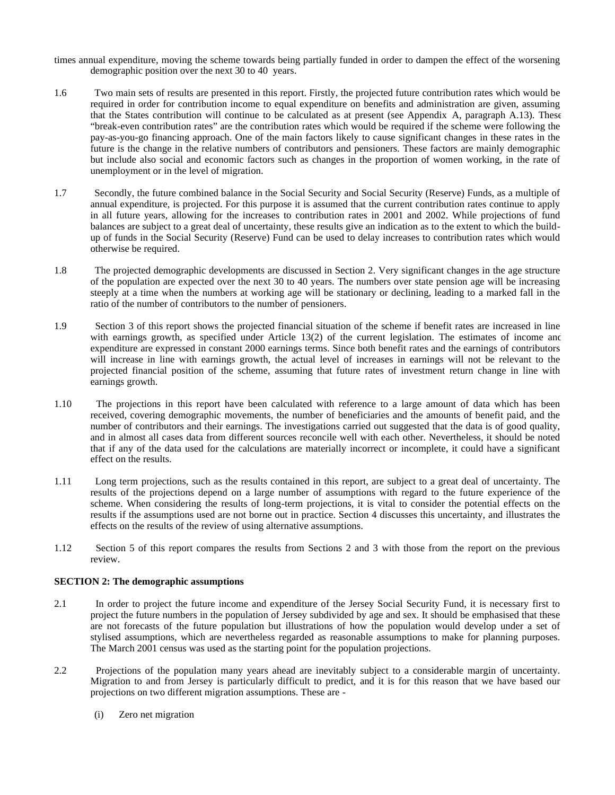- times annual expenditure, moving the scheme towards being partially funded in order to dampen the effect of the worsening demographic position over the next 30 to 40 years.
- 1.6 Two main sets of results are presented in this report. Firstly, the projected future contribution rates which would be required in order for contribution income to equal expenditure on benefits and administration are given, assuming that the States contribution will continue to be calculated as at present (see Appendix A, paragraph A.13). These "break-even contribution rates" are the contribution rates which would be required if the scheme were following the pay-as-you-go financing approach. One of the main factors likely to cause significant changes in these rates in the future is the change in the relative numbers of contributors and pensioners. These factors are mainly demographic but include also social and economic factors such as changes in the proportion of women working, in the rate of unemployment or in the level of migration.
- 1.7 Secondly, the future combined balance in the Social Security and Social Security (Reserve) Funds, as a multiple of annual expenditure, is projected. For this purpose it is assumed that the current contribution rates continue to apply in all future years, allowing for the increases to contribution rates in 2001 and 2002. While projections of fund balances are subject to a great deal of uncertainty, these results give an indication as to the extent to which the buildup of funds in the Social Security (Reserve) Fund can be used to delay increases to contribution rates which would otherwise be required.
- 1.8 The projected demographic developments are discussed in Section 2. Very significant changes in the age structure of the population are expected over the next 30 to 40 years. The numbers over state pension age will be increasing steeply at a time when the numbers at working age will be stationary or declining, leading to a marked fall in the ratio of the number of contributors to the number of pensioners.
- 1.9 Section 3 of this report shows the projected financial situation of the scheme if benefit rates are increased in line with earnings growth, as specified under Article 13(2) of the current legislation. The estimates of income and expenditure are expressed in constant 2000 earnings terms. Since both benefit rates and the earnings of contributors will increase in line with earnings growth, the actual level of increases in earnings will not be relevant to the projected financial position of the scheme, assuming that future rates of investment return change in line with earnings growth.
- 1.10 The projections in this report have been calculated with reference to a large amount of data which has been received, covering demographic movements, the number of beneficiaries and the amounts of benefit paid, and the number of contributors and their earnings. The investigations carried out suggested that the data is of good quality, and in almost all cases data from different sources reconcile well with each other. Nevertheless, it should be noted that if any of the data used for the calculations are materially incorrect or incomplete, it could have a significant effect on the results.
- 1.11 Long term projections, such as the results contained in this report, are subject to a great deal of uncertainty. The results of the projections depend on a large number of assumptions with regard to the future experience of the scheme. When considering the results of long-term projections, it is vital to consider the potential effects on the results if the assumptions used are not borne out in practice. Section 4 discusses this uncertainty, and illustrates the effects on the results of the review of using alternative assumptions.
- 1.12 Section 5 of this report compares the results from Sections 2 and 3 with those from the report on the previous review.

#### **SECTION 2: The demographic assumptions**

- 2.1 In order to project the future income and expenditure of the Jersey Social Security Fund, it is necessary first to project the future numbers in the population of Jersey subdivided by age and sex. It should be emphasised that these are not forecasts of the future population but illustrations of how the population would develop under a set of stylised assumptions, which are nevertheless regarded as reasonable assumptions to make for planning purposes. The March 2001 census was used as the starting point for the population projections.
- 2.2 Projections of the population many years ahead are inevitably subject to a considerable margin of uncertainty. Migration to and from Jersey is particularly difficult to predict, and it is for this reason that we have based our projections on two different migration assumptions. These are -
	- (i) Zero net migration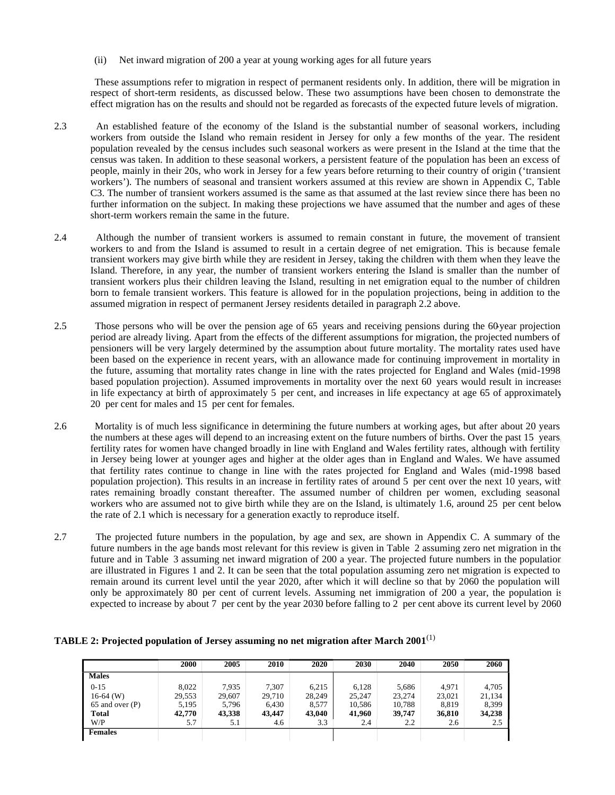(ii) Net inward migration of 200 a year at young working ages for all future years

 These assumptions refer to migration in respect of permanent residents only. In addition, there will be migration in respect of short-term residents, as discussed below. These two assumptions have been chosen to demonstrate the effect migration has on the results and should not be regarded as forecasts of the expected future levels of migration.

- 2.3 An established feature of the economy of the Island is the substantial number of seasonal workers, including workers from outside the Island who remain resident in Jersey for only a few months of the year. The resident population revealed by the census includes such seasonal workers as were present in the Island at the time that the census was taken. In addition to these seasonal workers, a persistent feature of the population has been an excess of people, mainly in their 20s, who work in Jersey for a few years before returning to their country of origin ('transient workers'). The numbers of seasonal and transient workers assumed at this review are shown in Appendix C, Table C3. The number of transient workers assumed is the same as that assumed at the last review since there has been no further information on the subject. In making these projections we have assumed that the number and ages of these short-term workers remain the same in the future.
- 2.4 Although the number of transient workers is assumed to remain constant in future, the movement of transient workers to and from the Island is assumed to result in a certain degree of net emigration. This is because female transient workers may give birth while they are resident in Jersey, taking the children with them when they leave the Island. Therefore, in any year, the number of transient workers entering the Island is smaller than the number of transient workers plus their children leaving the Island, resulting in net emigration equal to the number of children born to female transient workers. This feature is allowed for in the population projections, being in addition to the assumed migration in respect of permanent Jersey residents detailed in paragraph 2.2 above.
- 2.5 Those persons who will be over the pension age of 65 years and receiving pensions during the 60-year projection period are already living. Apart from the effects of the different assumptions for migration, the projected numbers of pensioners will be very largely determined by the assumption about future mortality. The mortality rates used have been based on the experience in recent years, with an allowance made for continuing improvement in mortality in the future, assuming that mortality rates change in line with the rates projected for England and Wales (mid-1998 based population projection). Assumed improvements in mortality over the next 60 years would result in increases in life expectancy at birth of approximately 5 per cent, and increases in life expectancy at age 65 of approximately 20 per cent for males and 15 per cent for females.
- 2.6 Mortality is of much less significance in determining the future numbers at working ages, but after about 20 years the numbers at these ages will depend to an increasing extent on the future numbers of births. Over the past 15 years, fertility rates for women have changed broadly in line with England and Wales fertility rates, although with fertility in Jersey being lower at younger ages and higher at the older ages than in England and Wales. We have assumed that fertility rates continue to change in line with the rates projected for England and Wales (mid-1998 based population projection). This results in an increase in fertility rates of around 5 per cent over the next 10 years, with rates remaining broadly constant thereafter. The assumed number of children per women, excluding seasonal workers who are assumed not to give birth while they are on the Island, is ultimately 1.6, around 25 per cent below the rate of 2.1 which is necessary for a generation exactly to reproduce itself.
- 2.7 The projected future numbers in the population, by age and sex, are shown in Appendix C. A summary of the future numbers in the age bands most relevant for this review is given in Table 2 assuming zero net migration in the future and in Table 3 assuming net inward migration of 200 a year. The projected future numbers in the population are illustrated in Figures 1 and 2. It can be seen that the total population assuming zero net migration is expected to remain around its current level until the year 2020, after which it will decline so that by 2060 the population will only be approximately 80 per cent of current levels. Assuming net immigration of 200 a year, the population is expected to increase by about 7 per cent by the year 2030 before falling to 2 per cent above its current level by 2060.

# **TABLE 2: Projected population of Jersey assuming no net migration after March 2001**(1)

|                 | 2000   | 2005   | 2010   | 2020   | 2030   | 2040   | 2050   | 2060   |
|-----------------|--------|--------|--------|--------|--------|--------|--------|--------|
| <b>Males</b>    |        |        |        |        |        |        |        |        |
| $0 - 15$        | 8.022  | 7,935  | 7,307  | 6,215  | 6,128  | 5,686  | 4,971  | 4,705  |
| $16-64$ (W)     | 29,553 | 29,607 | 29,710 | 28,249 | 25,247 | 23,274 | 23,021 | 21,134 |
| 65 and over (P) | 5,195  | 5,796  | 6,430  | 8,577  | 10,586 | 10,788 | 8,819  | 8,399  |
| <b>Total</b>    | 42,770 | 43,338 | 43,447 | 43,040 | 41,960 | 39,747 | 36,810 | 34,238 |
| W/P             | 5.7    | 5.1    | 4.6    | 3.3    | 2.4    | 2.2    | 2.6    | 2.5    |
| Females         |        |        |        |        |        |        |        |        |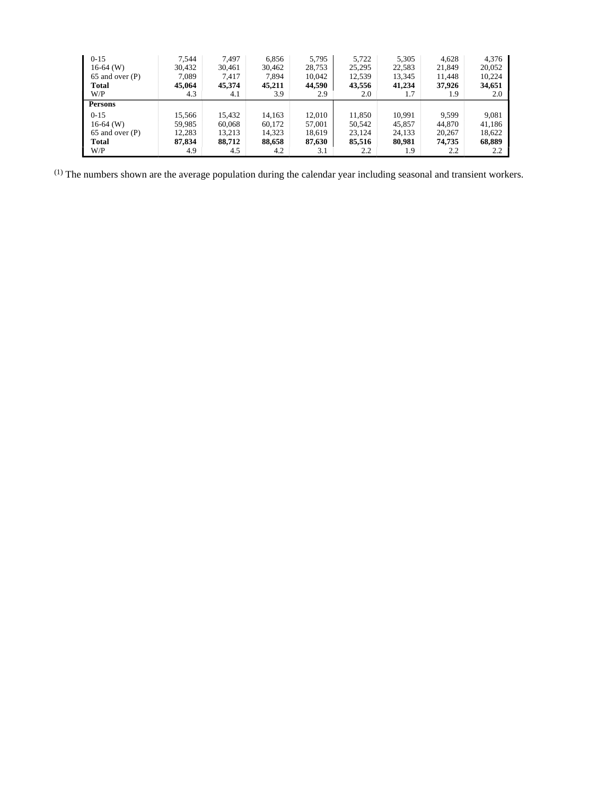| $0 - 15$            | 7.544  | 7,497  | 6,856  | 5,795  | 5,722  | 5,305  | 4,628  | 4,376  |
|---------------------|--------|--------|--------|--------|--------|--------|--------|--------|
| $16-64$ (W)         | 30,432 | 30,461 | 30,462 | 28,753 | 25,295 | 22,583 | 21,849 | 20,052 |
| $65$ and over $(P)$ | 7,089  | 7,417  | 7,894  | 10,042 | 12,539 | 13,345 | 11,448 | 10,224 |
| Total               | 45,064 | 45,374 | 45,211 | 44,590 | 43,556 | 41,234 | 37,926 | 34,651 |
| W/P                 | 4.3    | 4.1    | 3.9    | 2.9    | 2.0    | 1.7    | 1.9    | 2.0    |
| <b>Persons</b>      |        |        |        |        |        |        |        |        |
| $0 - 15$            | 15,566 | 15,432 | 14,163 | 12,010 | 11,850 | 10,991 | 9,599  | 9,081  |
| $16-64$ (W)         | 59,985 | 60,068 | 60,172 | 57,001 | 50,542 | 45,857 | 44,870 | 41,186 |
| $65$ and over $(P)$ | 12,283 | 13,213 | 14,323 | 18,619 | 23,124 | 24,133 | 20,267 | 18,622 |
| Total               | 87,834 | 88,712 | 88,658 | 87,630 | 85,516 | 80,981 | 74,735 | 68,889 |
| W/P                 | 4.9    | 4.5    | 4.2    | 3.1    | 2.2    | 1.9    | 2.2    | 2.2    |

(1) The numbers shown are the average population during the calendar year including seasonal and transient workers.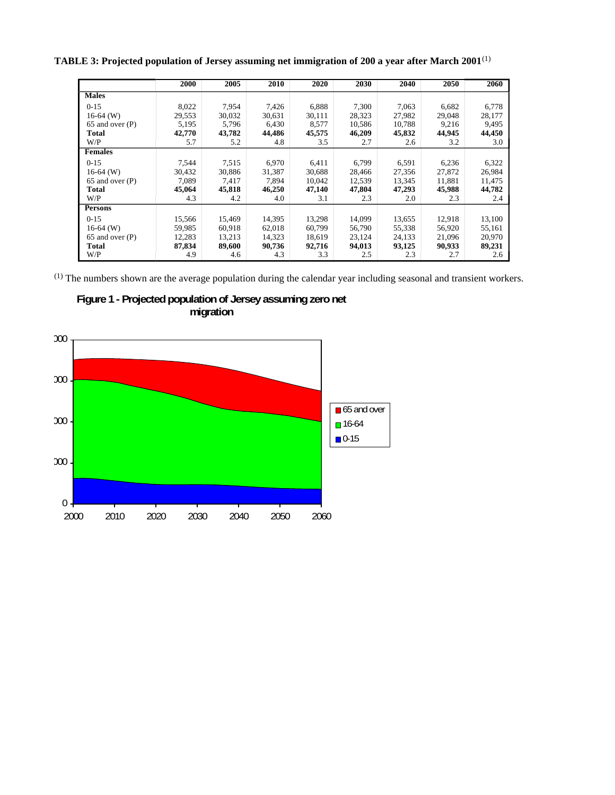**TABLE 3: Projected population of Jersey assuming net immigration of 200 a year after March 2001**(1)

|                     | 2000   | 2005   | 2010   | 2020   | 2030   | 2040   | 2050   | 2060   |
|---------------------|--------|--------|--------|--------|--------|--------|--------|--------|
| <b>Males</b>        |        |        |        |        |        |        |        |        |
| $0-15$              | 8,022  | 7,954  | 7,426  | 6,888  | 7,300  | 7,063  | 6,682  | 6,778  |
| $16-64$ (W)         | 29,553 | 30,032 | 30,631 | 30,111 | 28,323 | 27,982 | 29,048 | 28,177 |
| 65 and over (P)     | 5,195  | 5,796  | 6,430  | 8,577  | 10,586 | 10,788 | 9,216  | 9,495  |
| Total               | 42,770 | 43,782 | 44,486 | 45,575 | 46,209 | 45,832 | 44,945 | 44,450 |
| W/P                 | 5.7    | 5.2    | 4.8    | 3.5    | 2.7    | 2.6    | 3.2    | 3.0    |
| <b>Females</b>      |        |        |        |        |        |        |        |        |
| $0 - 15$            | 7,544  | 7,515  | 6,970  | 6,411  | 6,799  | 6,591  | 6,236  | 6,322  |
| $16-64$ (W)         | 30,432 | 30,886 | 31,387 | 30,688 | 28,466 | 27,356 | 27,872 | 26,984 |
| $65$ and over $(P)$ | 7,089  | 7,417  | 7,894  | 10,042 | 12,539 | 13,345 | 11,881 | 11,475 |
| Total               | 45,064 | 45,818 | 46,250 | 47,140 | 47,804 | 47,293 | 45,988 | 44,782 |
| W/P                 | 4.3    | 4.2    | 4.0    | 3.1    | 2.3    | 2.0    | 2.3    | 2.4    |
| <b>Persons</b>      |        |        |        |        |        |        |        |        |
| $0-15$              | 15,566 | 15,469 | 14,395 | 13,298 | 14,099 | 13,655 | 12,918 | 13,100 |
| $16-64$ (W)         | 59,985 | 60,918 | 62,018 | 60,799 | 56,790 | 55,338 | 56,920 | 55,161 |
| 65 and over (P)     | 12,283 | 13,213 | 14,323 | 18,619 | 23,124 | 24,133 | 21,096 | 20,970 |
| Total               | 87,834 | 89,600 | 90,736 | 92,716 | 94,013 | 93,125 | 90,933 | 89,231 |
| W/P                 | 4.9    | 4.6    | 4.3    | 3.3    | 2.5    | 2.3    | 2.7    | 2.6    |

(1) The numbers shown are the average population during the calendar year including seasonal and transient workers.



**Figure 1 - Projected population of Jersey assuming zero net migration**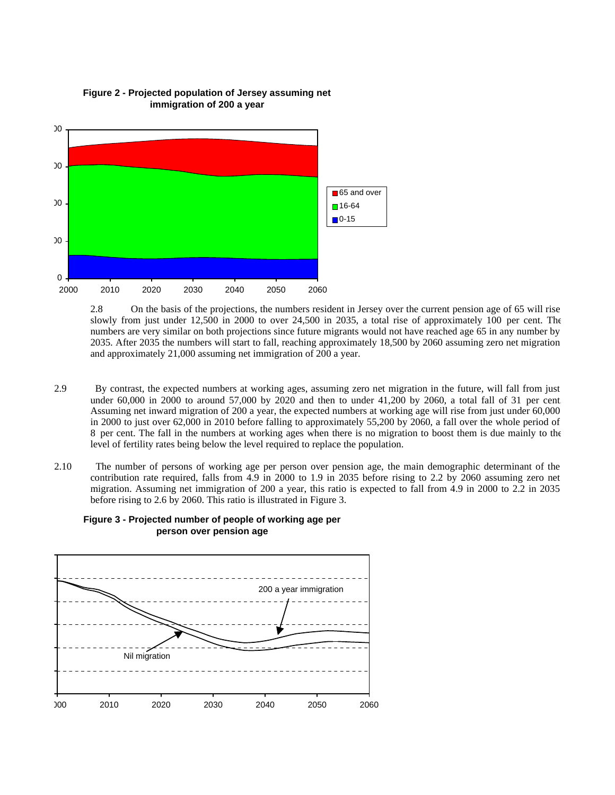

**Figure 2 - Projected population of Jersey assuming net immigration of 200 a year**

2.8 On the basis of the projections, the numbers resident in Jersey over the current pension age of 65 will rise slowly from just under 12,500 in 2000 to over 24,500 in 2035, a total rise of approximately 100 per cent. The numbers are very similar on both projections since future migrants would not have reached age 65 in any number by 2035. After 2035 the numbers will start to fall, reaching approximately 18,500 by 2060 assuming zero net migration and approximately 21,000 assuming net immigration of 200 a year.

- 2.9 By contrast, the expected numbers at working ages, assuming zero net migration in the future, will fall from just under 60,000 in 2000 to around 57,000 by 2020 and then to under 41,200 by 2060, a total fall of 31 per cent. Assuming net inward migration of 200 a year, the expected numbers at working age will rise from just under 60,000 in 2000 to just over 62,000 in 2010 before falling to approximately 55,200 by 2060, a fall over the whole period of 8 per cent. The fall in the numbers at working ages when there is no migration to boost them is due mainly to the level of fertility rates being below the level required to replace the population.
- 2.10 The number of persons of working age per person over pension age, the main demographic determinant of the contribution rate required, falls from 4.9 in 2000 to 1.9 in 2035 before rising to 2.2 by 2060 assuming zero net migration. Assuming net immigration of 200 a year, this ratio is expected to fall from 4.9 in 2000 to 2.2 in 2035 before rising to 2.6 by 2060. This ratio is illustrated in Figure 3.



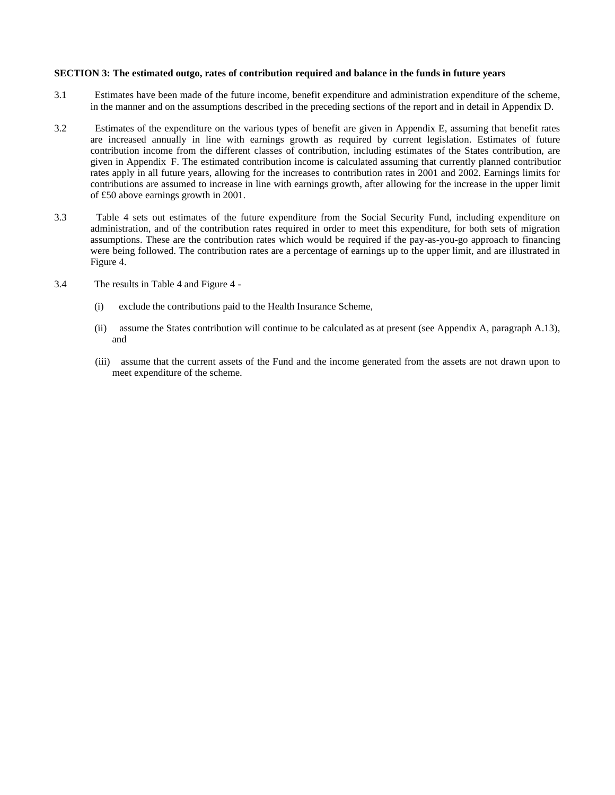#### **SECTION 3: The estimated outgo, rates of contribution required and balance in the funds in future years**

- 3.1 Estimates have been made of the future income, benefit expenditure and administration expenditure of the scheme, in the manner and on the assumptions described in the preceding sections of the report and in detail in Appendix D.
- 3.2 Estimates of the expenditure on the various types of benefit are given in Appendix E, assuming that benefit rates are increased annually in line with earnings growth as required by current legislation. Estimates of future contribution income from the different classes of contribution, including estimates of the States contribution, are given in Appendix F. The estimated contribution income is calculated assuming that currently planned contribution rates apply in all future years, allowing for the increases to contribution rates in 2001 and 2002. Earnings limits for contributions are assumed to increase in line with earnings growth, after allowing for the increase in the upper limit of £50 above earnings growth in 2001.
- 3.3 Table 4 sets out estimates of the future expenditure from the Social Security Fund, including expenditure on administration, and of the contribution rates required in order to meet this expenditure, for both sets of migration assumptions. These are the contribution rates which would be required if the pay-as-you-go approach to financing were being followed. The contribution rates are a percentage of earnings up to the upper limit, and are illustrated in Figure 4.
- 3.4 The results in Table 4 and Figure 4
	- (i) exclude the contributions paid to the Health Insurance Scheme,
	- (ii) assume the States contribution will continue to be calculated as at present (see Appendix A, paragraph A.13), and
	- (iii) assume that the current assets of the Fund and the income generated from the assets are not drawn upon to meet expenditure of the scheme.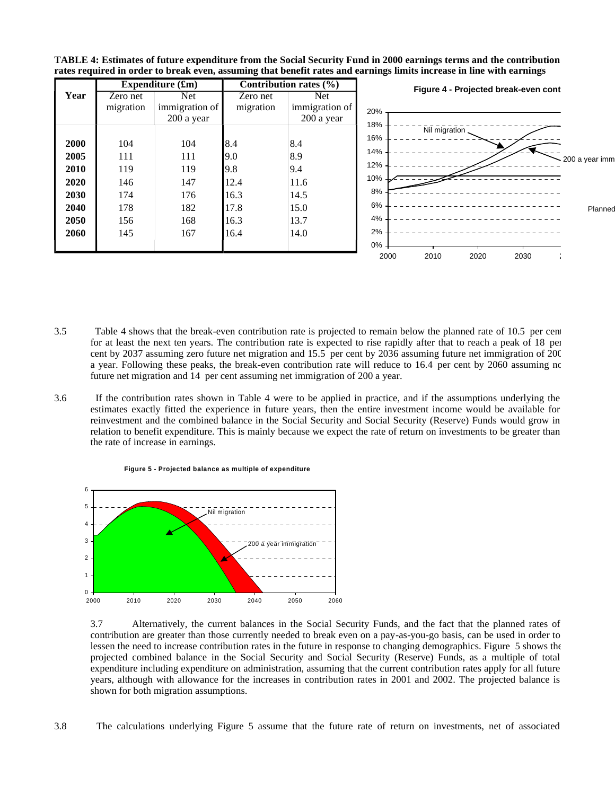|      |           | Expenditure $(\mathbf{f}\mathbf{m})$ |           | <b>Contribution rates (%)</b> | Figure 4 - Projected break-even cont |
|------|-----------|--------------------------------------|-----------|-------------------------------|--------------------------------------|
| Year | Zero net  | Net                                  | Zero net  | Net.                          |                                      |
|      | migration | immigration of                       | migration | immigration of                | 20%                                  |
|      |           | 200 a year                           |           | 200 a year                    | 18%                                  |
|      |           |                                      |           |                               | Nil migration<br>16%                 |
| 2000 | 104       | 104                                  | 8.4       | 8.4                           |                                      |
| 2005 | 111       | 111                                  | 9.0       | 8.9                           | 14%<br>200 a year imm                |
| 2010 | 119       | 119                                  | 9.8       | 9.4                           | 12%                                  |
| 2020 | 146       | 147                                  | 12.4      | 11.6                          | 10% -                                |
| 2030 | 174       | 176                                  | 16.3      | 14.5                          | 8%                                   |
| 2040 | 178       | 182                                  | 17.8      | 15.0                          | 6%<br>Planned                        |
| 2050 | 156       | 168                                  | 16.3      | 13.7                          | 4%                                   |
| 2060 | 145       | 167                                  | 16.4      | 14.0                          | 2%                                   |
|      |           |                                      |           |                               | $0\%$ .                              |
|      |           |                                      |           |                               | 2000<br>2010<br>2020<br>2030         |



- 3.5 Table 4 shows that the break-even contribution rate is projected to remain below the planned rate of 10.5 per cent for at least the next ten years. The contribution rate is expected to rise rapidly after that to reach a peak of 18 per cent by 2037 assuming zero future net migration and 15.5 per cent by 2036 assuming future net immigration of 200 a year. Following these peaks, the break-even contribution rate will reduce to 16.4 per cent by 2060 assuming no future net migration and 14 per cent assuming net immigration of 200 a year.
- 3.6 If the contribution rates shown in Table 4 were to be applied in practice, and if the assumptions underlying the estimates exactly fitted the experience in future years, then the entire investment income would be available for reinvestment and the combined balance in the Social Security and Social Security (Reserve) Funds would grow in relation to benefit expenditure. This is mainly because we expect the rate of return on investments to be greater than the rate of increase in earnings.



**Figure 5 - Projected balance as multiple of expenditure**

3.7 Alternatively, the current balances in the Social Security Funds, and the fact that the planned rates of contribution are greater than those currently needed to break even on a pay-as-you-go basis, can be used in order to lessen the need to increase contribution rates in the future in response to changing demographics. Figure 5 shows the projected combined balance in the Social Security and Social Security (Reserve) Funds, as a multiple of total expenditure including expenditure on administration, assuming that the current contribution rates apply for all future years, although with allowance for the increases in contribution rates in 2001 and 2002. The projected balance is shown for both migration assumptions.

3.8 The calculations underlying Figure 5 assume that the future rate of return on investments, net of associated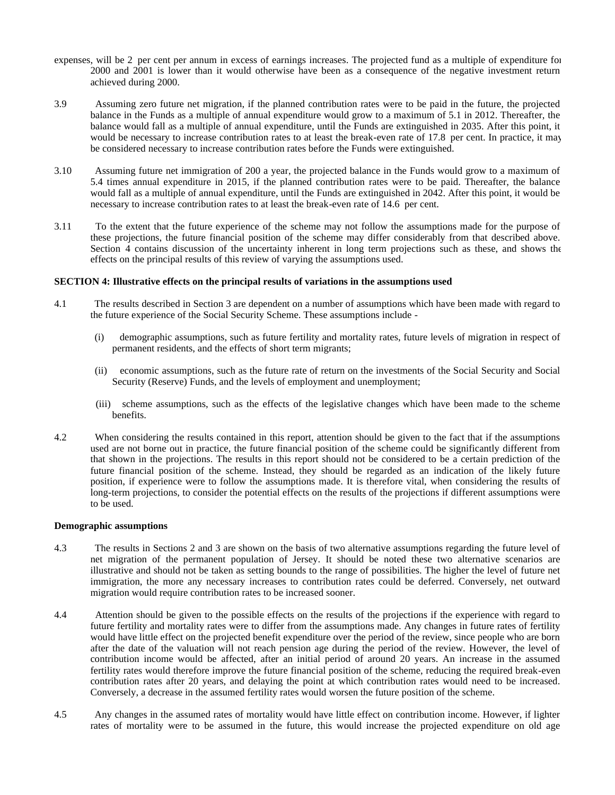- expenses, will be 2 per cent per annum in excess of earnings increases. The projected fund as a multiple of expenditure for 2000 and 2001 is lower than it would otherwise have been as a consequence of the negative investment return achieved during 2000.
- 3.9 Assuming zero future net migration, if the planned contribution rates were to be paid in the future, the projected balance in the Funds as a multiple of annual expenditure would grow to a maximum of 5.1 in 2012. Thereafter, the balance would fall as a multiple of annual expenditure, until the Funds are extinguished in 2035. After this point, it would be necessary to increase contribution rates to at least the break-even rate of 17.8 per cent. In practice, it may be considered necessary to increase contribution rates before the Funds were extinguished.
- 3.10 Assuming future net immigration of 200 a year, the projected balance in the Funds would grow to a maximum of 5.4 times annual expenditure in 2015, if the planned contribution rates were to be paid. Thereafter, the balance would fall as a multiple of annual expenditure, until the Funds are extinguished in 2042. After this point, it would be necessary to increase contribution rates to at least the break-even rate of 14.6 per cent.
- 3.11 To the extent that the future experience of the scheme may not follow the assumptions made for the purpose of these projections, the future financial position of the scheme may differ considerably from that described above. Section 4 contains discussion of the uncertainty inherent in long term projections such as these, and shows the effects on the principal results of this review of varying the assumptions used.

#### **SECTION 4: Illustrative effects on the principal results of variations in the assumptions used**

- 4.1 The results described in Section 3 are dependent on a number of assumptions which have been made with regard to the future experience of the Social Security Scheme. These assumptions include -
	- (i) demographic assumptions, such as future fertility and mortality rates, future levels of migration in respect of permanent residents, and the effects of short term migrants;
	- (ii) economic assumptions, such as the future rate of return on the investments of the Social Security and Social Security (Reserve) Funds, and the levels of employment and unemployment;
	- (iii) scheme assumptions, such as the effects of the legislative changes which have been made to the scheme benefits.
- 4.2 When considering the results contained in this report, attention should be given to the fact that if the assumptions used are not borne out in practice, the future financial position of the scheme could be significantly different from that shown in the projections. The results in this report should not be considered to be a certain prediction of the future financial position of the scheme. Instead, they should be regarded as an indication of the likely future position, if experience were to follow the assumptions made. It is therefore vital, when considering the results of long-term projections, to consider the potential effects on the results of the projections if different assumptions were to be used.

### **Demographic assumptions**

- 4.3 The results in Sections 2 and 3 are shown on the basis of two alternative assumptions regarding the future level of net migration of the permanent population of Jersey. It should be noted these two alternative scenarios are illustrative and should not be taken as setting bounds to the range of possibilities. The higher the level of future net immigration, the more any necessary increases to contribution rates could be deferred. Conversely, net outward migration would require contribution rates to be increased sooner.
- 4.4 Attention should be given to the possible effects on the results of the projections if the experience with regard to future fertility and mortality rates were to differ from the assumptions made. Any changes in future rates of fertility would have little effect on the projected benefit expenditure over the period of the review, since people who are born after the date of the valuation will not reach pension age during the period of the review. However, the level of contribution income would be affected, after an initial period of around 20 years. An increase in the assumed fertility rates would therefore improve the future financial position of the scheme, reducing the required break-even contribution rates after 20 years, and delaying the point at which contribution rates would need to be increased. Conversely, a decrease in the assumed fertility rates would worsen the future position of the scheme.
- 4.5 Any changes in the assumed rates of mortality would have little effect on contribution income. However, if lighter rates of mortality were to be assumed in the future, this would increase the projected expenditure on old age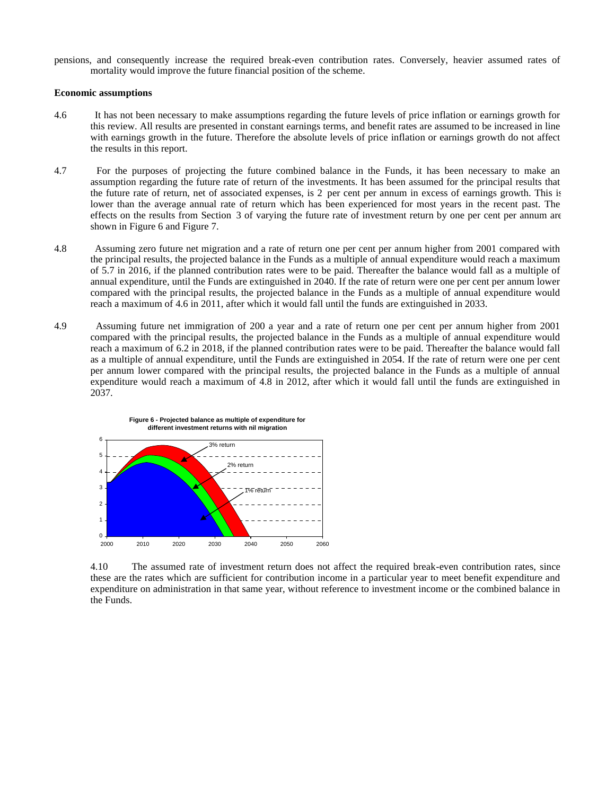pensions, and consequently increase the required break-even contribution rates. Conversely, heavier assumed rates of mortality would improve the future financial position of the scheme.

#### **Economic assumptions**

 $0 - 2000$ 

- 4.6 It has not been necessary to make assumptions regarding the future levels of price inflation or earnings growth for this review. All results are presented in constant earnings terms, and benefit rates are assumed to be increased in line with earnings growth in the future. Therefore the absolute levels of price inflation or earnings growth do not affect the results in this report.
- 4.7 For the purposes of projecting the future combined balance in the Funds, it has been necessary to make an assumption regarding the future rate of return of the investments. It has been assumed for the principal results that the future rate of return, net of associated expenses, is 2 per cent per annum in excess of earnings growth. This is lower than the average annual rate of return which has been experienced for most years in the recent past. The effects on the results from Section 3 of varying the future rate of investment return by one per cent per annum are shown in Figure 6 and Figure 7.
- 4.8 Assuming zero future net migration and a rate of return one per cent per annum higher from 2001 compared with the principal results, the projected balance in the Funds as a multiple of annual expenditure would reach a maximum of 5.7 in 2016, if the planned contribution rates were to be paid. Thereafter the balance would fall as a multiple of annual expenditure, until the Funds are extinguished in 2040. If the rate of return were one per cent per annum lower compared with the principal results, the projected balance in the Funds as a multiple of annual expenditure would reach a maximum of 4.6 in 2011, after which it would fall until the funds are extinguished in 2033.
- 4.9 Assuming future net immigration of 200 a year and a rate of return one per cent per annum higher from 2001 compared with the principal results, the projected balance in the Funds as a multiple of annual expenditure would reach a maximum of 6.2 in 2018, if the planned contribution rates were to be paid. Thereafter the balance would fall as a multiple of annual expenditure, until the Funds are extinguished in 2054. If the rate of return were one per cent per annum lower compared with the principal results, the projected balance in the Funds as a multiple of annual expenditure would reach a maximum of 4.8 in 2012, after which it would fall until the funds are extinguished in 2037.



2000 2010 2020 2030 2040 2050 2060

**Figure 6 - Projected balance as multiple of expenditure for**

4.10 The assumed rate of investment return does not affect the required break-even contribution rates, since these are the rates which are sufficient for contribution income in a particular year to meet benefit expenditure and expenditure on administration in that same year, without reference to investment income or the combined balance in the Funds.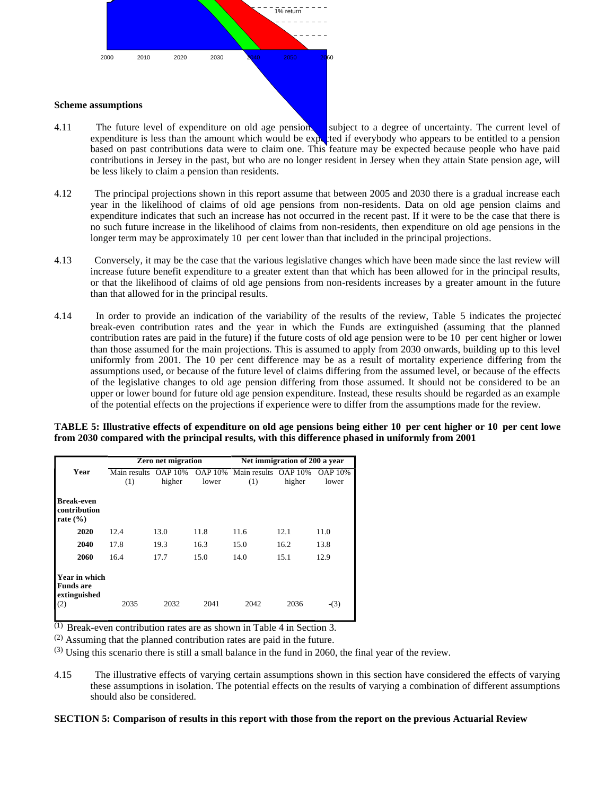

- 4.11 The future level of expenditure on old age pensions subject to a degree of uncertainty. The current level of expenditure is less than the amount which would be expected if everybody who appears to be entitled to a pension based on past contributions data were to claim one. This feature may be expected because people who have paid contributions in Jersey in the past, but who are no longer resident in Jersey when they attain State pension age, will be less likely to claim a pension than residents.
- 4.12 The principal projections shown in this report assume that between 2005 and 2030 there is a gradual increase each year in the likelihood of claims of old age pensions from non-residents. Data on old age pension claims and expenditure indicates that such an increase has not occurred in the recent past. If it were to be the case that there is no such future increase in the likelihood of claims from non-residents, then expenditure on old age pensions in the longer term may be approximately 10 per cent lower than that included in the principal projections.
- 4.13 Conversely, it may be the case that the various legislative changes which have been made since the last review will increase future benefit expenditure to a greater extent than that which has been allowed for in the principal results, or that the likelihood of claims of old age pensions from non-residents increases by a greater amount in the future than that allowed for in the principal results.
- 4.14 In order to provide an indication of the variability of the results of the review, Table 5 indicates the projected break-even contribution rates and the year in which the Funds are extinguished (assuming that the planned contribution rates are paid in the future) if the future costs of old age pension were to be 10 per cent higher or lower than those assumed for the main projections. This is assumed to apply from 2030 onwards, building up to this level uniformly from 2001. The 10 per cent difference may be as a result of mortality experience differing from the assumptions used, or because of the future level of claims differing from the assumed level, or because of the effects of the legislative changes to old age pension differing from those assumed. It should not be considered to be an upper or lower bound for future old age pension expenditure. Instead, these results should be regarded as an example of the potential effects on the projections if experience were to differ from the assumptions made for the review.

#### **TABLE 5: Illustrative effects of expenditure on old age pensions being either 10 per cent higher or 10 per cent lower from 2030 compared with the principal results, with this difference phased in uniformly from 2001**

|                                                   |                     | <b>Zero net migration</b> |                         |                     | Net immigration of 200 a year |                         |
|---------------------------------------------------|---------------------|---------------------------|-------------------------|---------------------|-------------------------------|-------------------------|
| Year                                              | Main results<br>(1) | <b>OAP 10%</b><br>higher  | <b>OAP 10%</b><br>lower | Main results<br>(1) | <b>OAP 10%</b><br>higher      | <b>OAP 10%</b><br>lower |
| <b>Break-even</b><br>contribution<br>rate $(\% )$ |                     |                           |                         |                     |                               |                         |
| 2020                                              | 12.4                | 13.0                      | 11.8                    | 11.6                | 12.1                          | 11.0                    |
| 2040                                              | 17.8                | 19.3                      | 16.3                    | 15.0                | 16.2                          | 13.8                    |
| 2060                                              | 16.4                | 17.7                      | 15.0                    | 14.0                | 15.1                          | 12.9                    |
| Year in which<br><b>Funds</b> are<br>extinguished |                     |                           |                         |                     |                               |                         |
| (2)                                               | 2035                | 2032                      | 2041                    | 2042                | 2036                          | $-(3)$                  |

(1) Break-even contribution rates are as shown in Table 4 in Section 3.

(2) Assuming that the planned contribution rates are paid in the future.

 $(3)$  Using this scenario there is still a small balance in the fund in 2060, the final year of the review.

4.15 The illustrative effects of varying certain assumptions shown in this section have considered the effects of varying these assumptions in isolation. The potential effects on the results of varying a combination of different assumptions should also be considered.

#### **SECTION 5: Comparison of results in this report with those from the report on the previous Actuarial Review**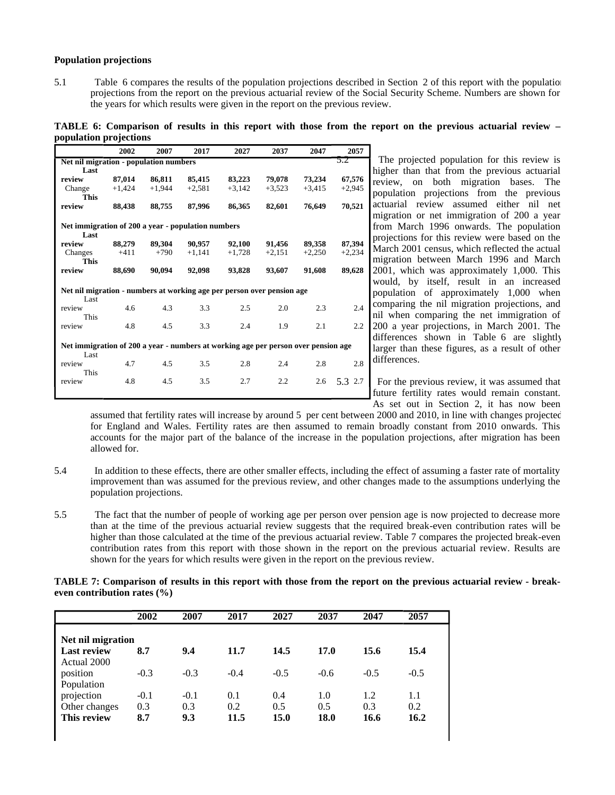#### **Population projections**

5.1 Table 6 compares the results of the population projections described in Section 2 of this report with the population projections from the report on the previous actuarial review of the Social Security Scheme. Numbers are shown for the years for which results were given in the report on the previous review.

**TABLE 6: Comparison of results in this report with those from the report on the previous actuarial review – population projections**

|                                                                                    | 2002     | 2007     | 2017     | 2027     | 2037     | 2047     | 2057     |  |  |  |  |
|------------------------------------------------------------------------------------|----------|----------|----------|----------|----------|----------|----------|--|--|--|--|
| 5.2<br>Net nil migration - population numbers                                      |          |          |          |          |          |          |          |  |  |  |  |
| Last                                                                               |          |          |          |          |          |          |          |  |  |  |  |
| review                                                                             | 87,014   | 86,811   | 85,415   | 83,223   | 79,078   | 73,234   | 67,576   |  |  |  |  |
| Change                                                                             | $+1,424$ | $+1.944$ | $+2,581$ | $+3,142$ | $+3,523$ | $+3,415$ | $+2,945$ |  |  |  |  |
| <b>This</b>                                                                        |          |          |          |          |          |          |          |  |  |  |  |
| review                                                                             | 88,438   | 88,755   | 87,996   | 86,365   | 82,601   | 76,649   | 70,521   |  |  |  |  |
|                                                                                    |          |          |          |          |          |          |          |  |  |  |  |
| Net immigration of 200 a year - population numbers<br>Last                         |          |          |          |          |          |          |          |  |  |  |  |
| review                                                                             | 88,279   | 89,304   | 90.957   | 92,100   | 91,456   | 89,358   | 87,394   |  |  |  |  |
| Changes                                                                            | $+411$   | $+790$   | $+1,141$ | $+1,728$ | $+2.151$ | $+2.250$ | $+2,234$ |  |  |  |  |
| <b>This</b>                                                                        |          |          |          |          |          |          |          |  |  |  |  |
| review                                                                             | 88,690   | 90,094   | 92,098   | 93,828   | 93,607   | 91,608   | 89,628   |  |  |  |  |
| Net nil migration - numbers at working age per person over pension age             |          |          |          |          |          |          |          |  |  |  |  |
| Last                                                                               |          |          |          |          |          |          |          |  |  |  |  |
| review                                                                             | 4.6      | 4.3      | 3.3      | 2.5      | 2.0      | 2.3      | 2.4      |  |  |  |  |
| This                                                                               |          |          |          |          |          |          |          |  |  |  |  |
| review                                                                             | 4.8      | 4.5      | 3.3      | 2.4      | 1.9      | 2.1      | 2.2      |  |  |  |  |
|                                                                                    |          |          |          |          |          |          |          |  |  |  |  |
| Net immigration of 200 a year - numbers at working age per person over pension age |          |          |          |          |          |          |          |  |  |  |  |
| Last                                                                               |          |          |          |          |          |          |          |  |  |  |  |
| review                                                                             | 4.7      | 4.5      | 3.5      | 2.8      | 2.4      | 2.8      | 2.8      |  |  |  |  |
| This                                                                               |          |          |          |          |          |          |          |  |  |  |  |
| review                                                                             | 4.8      | 4.5      | 3.5      | 2.7      | 2.2      | 2.6      | 5.3 2.7  |  |  |  |  |
|                                                                                    |          |          |          |          |          |          |          |  |  |  |  |
|                                                                                    |          |          |          |          |          |          |          |  |  |  |  |

The projected population for this review is higher than that from the previous actuarial review, on both migration bases. The population projections from the previous actuarial review assumed either nil net migration or net immigration of 200 a year from March 1996 onwards. The population projections for this review were based on the March 2001 census, which reflected the actual migration between March 1996 and March 2001, which was approximately 1,000. This would, by itself, result in an increased population of approximately 1,000 when comparing the nil migration projections, and nil when comparing the net immigration of 200 a year projections, in March 2001. The differences shown in Table 6 are slightly larger than these figures, as a result of other differences.

5.3 For the previous review, it was assumed that future fertility rates would remain constant. As set out in Section 2, it has now been

assumed that fertility rates will increase by around 5 per cent between 2000 and 2010, in line with changes projected for England and Wales. Fertility rates are then assumed to remain broadly constant from 2010 onwards. This accounts for the major part of the balance of the increase in the population projections, after migration has been allowed for.

- 5.4 In addition to these effects, there are other smaller effects, including the effect of assuming a faster rate of mortality improvement than was assumed for the previous review, and other changes made to the assumptions underlying the population projections.
- 5.5 The fact that the number of people of working age per person over pension age is now projected to decrease more than at the time of the previous actuarial review suggests that the required break-even contribution rates will be higher than those calculated at the time of the previous actuarial review. Table 7 compares the projected break-even contribution rates from this report with those shown in the report on the previous actuarial review. Results are shown for the years for which results were given in the report on the previous review.

**TABLE 7: Comparison of results in this report with those from the report on the previous actuarial review - breakeven contribution rates (%)**

|                    | 2002   | 2007   | 2017   | 2027   | 2037   | 2047   | 2057   |
|--------------------|--------|--------|--------|--------|--------|--------|--------|
| Net nil migration  |        |        |        |        |        |        |        |
| <b>Last review</b> | 8.7    | 9.4    | 11.7   | 14.5   | 17.0   | 15.6   | 15.4   |
| Actual 2000        |        |        |        |        |        |        |        |
| position           | $-0.3$ | $-0.3$ | $-0.4$ | $-0.5$ | $-0.6$ | $-0.5$ | $-0.5$ |
| Population         |        |        |        |        |        |        |        |
| projection         | $-0.1$ | $-0.1$ | 0.1    | 0.4    | 1.0    | 1.2    | 1.1    |
| Other changes      | 0.3    | 0.3    | 0.2    | 0.5    | 0.5    | 0.3    | 0.2    |
| This review        | 8.7    | 9.3    | 11.5   | 15.0   | 18.0   | 16.6   | 16.2   |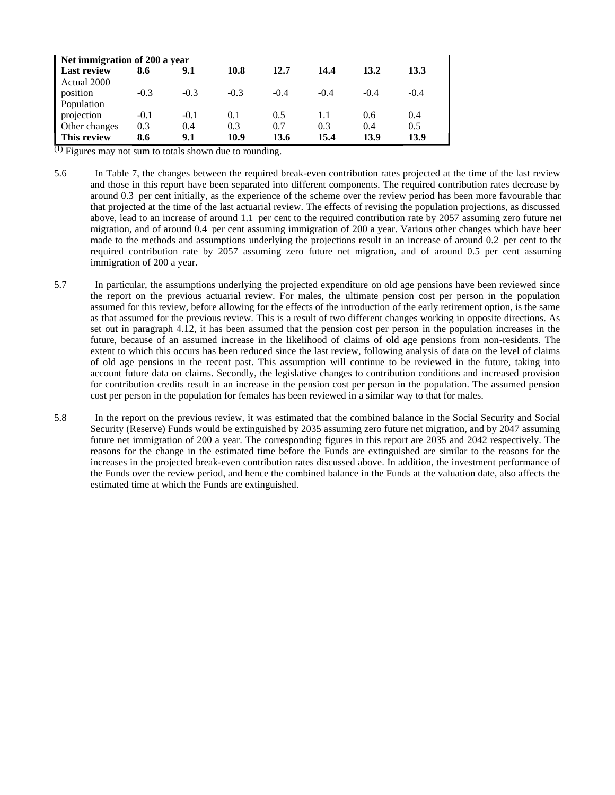| Net immigration of 200 a year |        |        |        |        |        |        |        |  |  |  |
|-------------------------------|--------|--------|--------|--------|--------|--------|--------|--|--|--|
| Last review                   | 8.6    | 9.1    | 10.8   | 12.7   | 14.4   | 13.2   | 13.3   |  |  |  |
| Actual 2000                   |        |        |        |        |        |        |        |  |  |  |
| position                      | $-0.3$ | $-0.3$ | $-0.3$ | $-0.4$ | $-0.4$ | $-0.4$ | $-0.4$ |  |  |  |
| Population                    |        |        |        |        |        |        |        |  |  |  |
| projection                    | $-0.1$ | $-0.1$ | 0.1    | 0.5    |        | 0.6    | (0.4)  |  |  |  |
| Other changes                 | 0.3    | 0.4    | 0.3    | 0.7    | 0.3    | 0.4    | 0.5    |  |  |  |
| This review                   | 8.6    | 9.1    | 10.9   | 13.6   | 15.4   | 13.9   | 13.9   |  |  |  |

 $\overline{^{(1)}}$  Figures may not sum to totals shown due to rounding.

- 5.6 In Table 7, the changes between the required break-even contribution rates projected at the time of the last review and those in this report have been separated into different components. The required contribution rates decrease by around 0.3 per cent initially, as the experience of the scheme over the review period has been more favourable than that projected at the time of the last actuarial review. The effects of revising the population projections, as discussed above, lead to an increase of around 1.1 per cent to the required contribution rate by 2057 assuming zero future net migration, and of around 0.4 per cent assuming immigration of 200 a year. Various other changes which have been made to the methods and assumptions underlying the projections result in an increase of around 0.2 per cent to the required contribution rate by 2057 assuming zero future net migration, and of around 0.5 per cent assuming immigration of 200 a year.
- 5.7 In particular, the assumptions underlying the projected expenditure on old age pensions have been reviewed since the report on the previous actuarial review. For males, the ultimate pension cost per person in the population assumed for this review, before allowing for the effects of the introduction of the early retirement option, is the same as that assumed for the previous review. This is a result of two different changes working in opposite directions. As set out in paragraph 4.12, it has been assumed that the pension cost per person in the population increases in the future, because of an assumed increase in the likelihood of claims of old age pensions from non-residents. The extent to which this occurs has been reduced since the last review, following analysis of data on the level of claims of old age pensions in the recent past. This assumption will continue to be reviewed in the future, taking into account future data on claims. Secondly, the legislative changes to contribution conditions and increased provision for contribution credits result in an increase in the pension cost per person in the population. The assumed pension cost per person in the population for females has been reviewed in a similar way to that for males.
- 5.8 In the report on the previous review, it was estimated that the combined balance in the Social Security and Social Security (Reserve) Funds would be extinguished by 2035 assuming zero future net migration, and by 2047 assuming future net immigration of 200 a year. The corresponding figures in this report are 2035 and 2042 respectively. The reasons for the change in the estimated time before the Funds are extinguished are similar to the reasons for the increases in the projected break-even contribution rates discussed above. In addition, the investment performance of the Funds over the review period, and hence the combined balance in the Funds at the valuation date, also affects the estimated time at which the Funds are extinguished.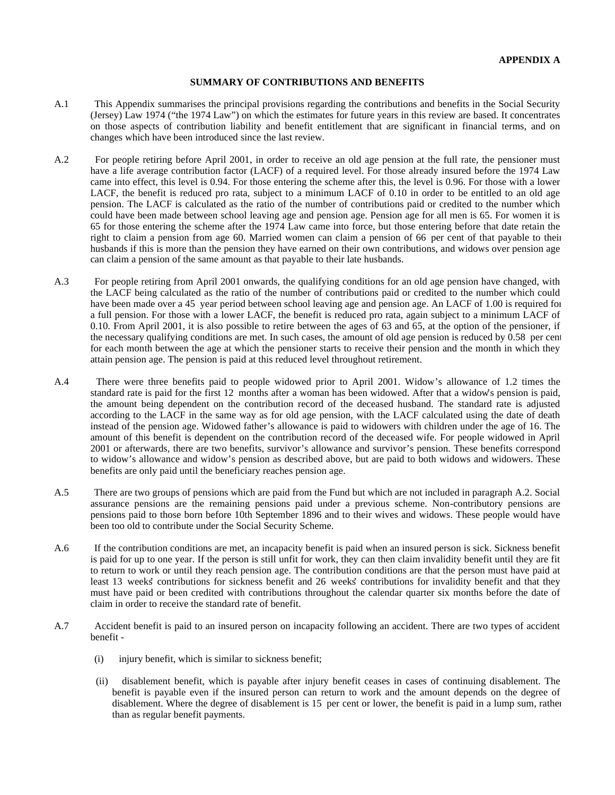#### **SUMMARY OF CONTRIBUTIONS AND BENEFITS**

- A.1 This Appendix summarises the principal provisions regarding the contributions and benefits in the Social Security (Jersey) Law 1974 ("the 1974 Law") on which the estimates for future years in this review are based. It concentrates on those aspects of contribution liability and benefit entitlement that are significant in financial terms, and on changes which have been introduced since the last review.
- A.2 For people retiring before April 2001, in order to receive an old age pension at the full rate, the pensioner must have a life average contribution factor (LACF) of a required level. For those already insured before the 1974 Law came into effect, this level is 0.94. For those entering the scheme after this, the level is 0.96. For those with a lower LACF, the benefit is reduced pro rata, subject to a minimum LACF of 0.10 in order to be entitled to an old age pension. The LACF is calculated as the ratio of the number of contributions paid or credited to the number which could have been made between school leaving age and pension age. Pension age for all men is 65. For women it is 65 for those entering the scheme after the 1974 Law came into force, but those entering before that date retain the right to claim a pension from age 60. Married women can claim a pension of 66 per cent of that payable to their husbands if this is more than the pension they have earned on their own contributions, and widows over pension age can claim a pension of the same amount as that payable to their late husbands.
- A.3 For people retiring from April 2001 onwards, the qualifying conditions for an old age pension have changed, with the LACF being calculated as the ratio of the number of contributions paid or credited to the number which could have been made over a 45 year period between school leaving age and pension age. An LACF of 1.00 is required for a full pension. For those with a lower LACF, the benefit is reduced pro rata, again subject to a minimum LACF of 0.10. From April 2001, it is also possible to retire between the ages of 63 and 65, at the option of the pensioner, if the necessary qualifying conditions are met. In such cases, the amount of old age pension is reduced by 0.58 per cent for each month between the age at which the pensioner starts to receive their pension and the month in which they attain pension age. The pension is paid at this reduced level throughout retirement.
- A.4 There were three benefits paid to people widowed prior to April 2001. Widow's allowance of 1.2 times the standard rate is paid for the first 12 months after a woman has been widowed. After that a widow's pension is paid, the amount being dependent on the contribution record of the deceased husband. The standard rate is adjusted according to the LACF in the same way as for old age pension, with the LACF calculated using the date of death instead of the pension age. Widowed father's allowance is paid to widowers with children under the age of 16. The amount of this benefit is dependent on the contribution record of the deceased wife. For people widowed in April 2001 or afterwards, there are two benefits, survivor's allowance and survivor's pension. These benefits correspond to widow's allowance and widow's pension as described above, but are paid to both widows and widowers. These benefits are only paid until the beneficiary reaches pension age.
- A.5 There are two groups of pensions which are paid from the Fund but which are not included in paragraph A.2. Social assurance pensions are the remaining pensions paid under a previous scheme. Non-contributory pensions are pensions paid to those born before 10th September 1896 and to their wives and widows. These people would have been too old to contribute under the Social Security Scheme.
- A.6 If the contribution conditions are met, an incapacity benefit is paid when an insured person is sick. Sickness benefit is paid for up to one year. If the person is still unfit for work, they can then claim invalidity benefit until they are fit to return to work or until they reach pension age. The contribution conditions are that the person must have paid at least 13 weeks' contributions for sickness benefit and 26 weeks' contributions for invalidity benefit and that they must have paid or been credited with contributions throughout the calendar quarter six months before the date of claim in order to receive the standard rate of benefit.
- A.7 Accident benefit is paid to an insured person on incapacity following an accident. There are two types of accident benefit -
	- (i) injury benefit, which is similar to sickness benefit;
	- (ii) disablement benefit, which is payable after injury benefit ceases in cases of continuing disablement. The benefit is payable even if the insured person can return to work and the amount depends on the degree of disablement. Where the degree of disablement is 15 per cent or lower, the benefit is paid in a lump sum, rather than as regular benefit payments.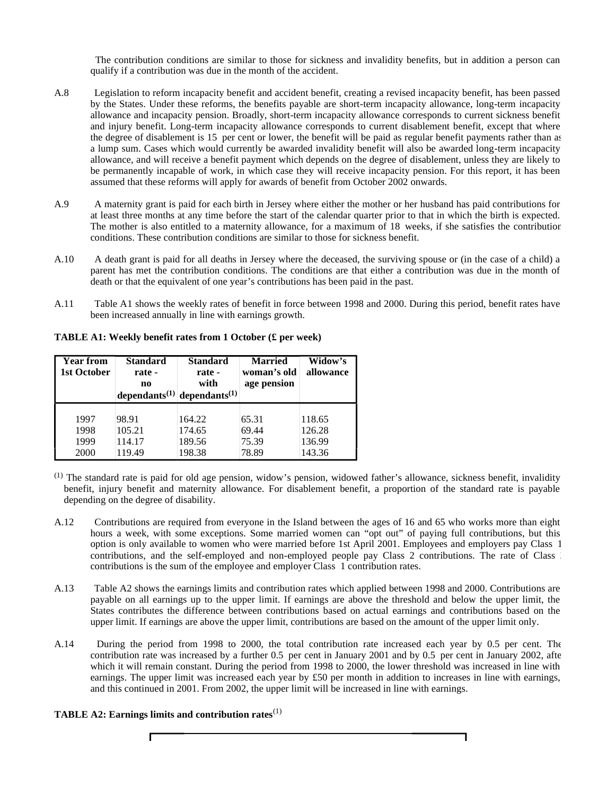The contribution conditions are similar to those for sickness and invalidity benefits, but in addition a person can qualify if a contribution was due in the month of the accident.

- A.8 Legislation to reform incapacity benefit and accident benefit, creating a revised incapacity benefit, has been passed by the States. Under these reforms, the benefits payable are short-term incapacity allowance, long-term incapacity allowance and incapacity pension. Broadly, short-term incapacity allowance corresponds to current sickness benefit and injury benefit. Long-term incapacity allowance corresponds to current disablement benefit, except that where the degree of disablement is 15 per cent or lower, the benefit will be paid as regular benefit payments rather than as a lump sum. Cases which would currently be awarded invalidity benefit will also be awarded long-term incapacity allowance, and will receive a benefit payment which depends on the degree of disablement, unless they are likely to be permanently incapable of work, in which case they will receive incapacity pension. For this report, it has been assumed that these reforms will apply for awards of benefit from October 2002 onwards.
- A.9 A maternity grant is paid for each birth in Jersey where either the mother or her husband has paid contributions for at least three months at any time before the start of the calendar quarter prior to that in which the birth is expected. The mother is also entitled to a maternity allowance, for a maximum of 18 weeks, if she satisfies the contribution conditions. These contribution conditions are similar to those for sickness benefit.
- A.10 A death grant is paid for all deaths in Jersey where the deceased, the surviving spouse or (in the case of a child) a parent has met the contribution conditions. The conditions are that either a contribution was due in the month of death or that the equivalent of one year's contributions has been paid in the past.
- A.11 Table A1 shows the weekly rates of benefit in force between 1998 and 2000. During this period, benefit rates have been increased annually in line with earnings growth.

**TABLE A1: Weekly benefit rates from 1 October (£ per week)**

| <b>Year from</b><br>1st October | <b>Standard</b><br>rate -<br>no | <b>Standard</b><br>rate -<br>with                   | <b>Married</b><br>woman's old<br>age pension | Widow's<br>allowance |
|---------------------------------|---------------------------------|-----------------------------------------------------|----------------------------------------------|----------------------|
|                                 |                                 | dependants <sup>(1)</sup> dependants <sup>(1)</sup> |                                              |                      |
|                                 |                                 |                                                     |                                              |                      |
| 1997                            | 98.91                           | 164.22                                              | 65.31                                        | 118.65               |
| 1998                            | 105.21                          | 174.65                                              | 69.44                                        | 126.28               |
| 1999                            | 114.17                          | 189.56                                              | 75.39                                        | 136.99               |
| 2000                            | 119.49                          | 198.38                                              | 78.89                                        | 143.36               |

- (1) The standard rate is paid for old age pension, widow's pension, widowed father's allowance, sickness benefit, invalidity benefit, injury benefit and maternity allowance. For disablement benefit, a proportion of the standard rate is payable depending on the degree of disability.
- A.12 Contributions are required from everyone in the Island between the ages of 16 and 65 who works more than eight hours a week, with some exceptions. Some married women can "opt out" of paying full contributions, but this option is only available to women who were married before 1st April 2001. Employees and employers pay Class 1 contributions, and the self-employed and non-employed people pay Class 2 contributions. The rate of Class 2 contributions is the sum of the employee and employer Class 1 contribution rates.
- A.13 Table A2 shows the earnings limits and contribution rates which applied between 1998 and 2000. Contributions are payable on all earnings up to the upper limit. If earnings are above the threshold and below the upper limit, the States contributes the difference between contributions based on actual earnings and contributions based on the upper limit. If earnings are above the upper limit, contributions are based on the amount of the upper limit only.
- A.14 During the period from 1998 to 2000, the total contribution rate increased each year by 0.5 per cent. The contribution rate was increased by a further 0.5 per cent in January 2001 and by 0.5 per cent in January 2002, after which it will remain constant. During the period from 1998 to 2000, the lower threshold was increased in line with earnings. The upper limit was increased each year by £50 per month in addition to increases in line with earnings, and this continued in 2001. From 2002, the upper limit will be increased in line with earnings.

# **TABLE A2: Earnings limits and contribution rates**(1)

Г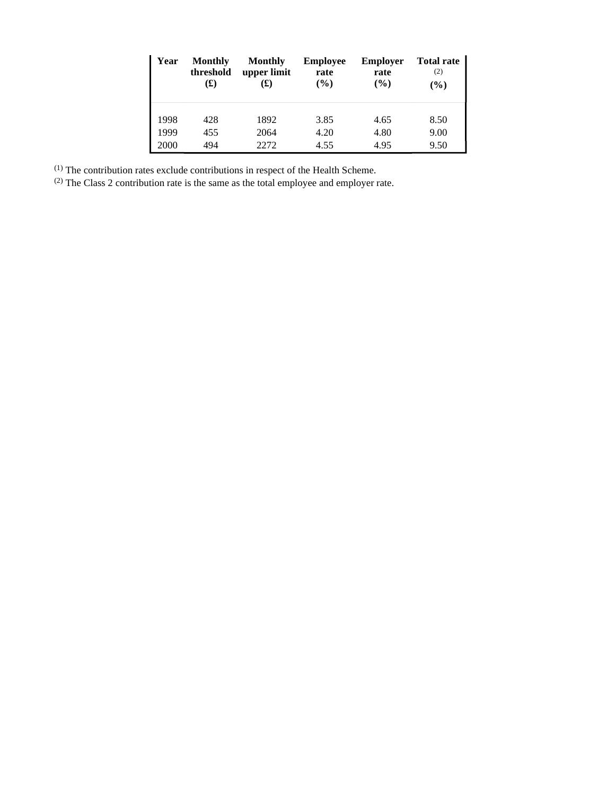| Year | <b>Monthly</b><br>threshold<br>(£) | <b>Monthly</b><br>upper limit<br>(£) | <b>Employee</b><br>rate<br>$\frac{6}{6}$ | <b>Employer</b><br>rate<br>$($ %) | <b>Total rate</b><br>(2)<br>$(\%)$ |
|------|------------------------------------|--------------------------------------|------------------------------------------|-----------------------------------|------------------------------------|
| 1998 | 428                                | 1892                                 | 3.85                                     | 4.65                              | 8.50                               |
| 1999 | 455                                | 2064                                 | 4.20                                     | 4.80                              | 9.00                               |
| 2000 | 494                                | 22.72                                | 4.55                                     | 4.95                              | 9.50                               |

 $<sup>(1)</sup>$  The contribution rates exclude contributions in respect of the Health Scheme.</sup>

 $^{(2)}$  The Class 2 contribution rate is the same as the total employee and employer rate.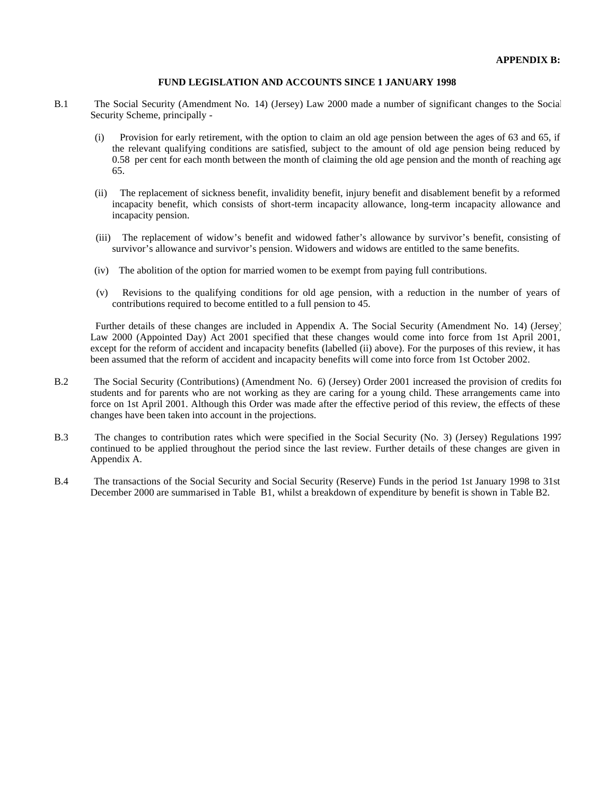#### **FUND LEGISLATION AND ACCOUNTS SINCE 1 JANUARY 1998**

- B.1 The Social Security (Amendment No. 14) (Jersey) Law 2000 made a number of significant changes to the Social Security Scheme, principally -
	- (i) Provision for early retirement, with the option to claim an old age pension between the ages of 63 and 65, if the relevant qualifying conditions are satisfied, subject to the amount of old age pension being reduced by 0.58 per cent for each month between the month of claiming the old age pension and the month of reaching age 65.
	- (ii) The replacement of sickness benefit, invalidity benefit, injury benefit and disablement benefit by a reformed incapacity benefit, which consists of short-term incapacity allowance, long-term incapacity allowance and incapacity pension.
	- (iii) The replacement of widow's benefit and widowed father's allowance by survivor's benefit, consisting of survivor's allowance and survivor's pension. Widowers and widows are entitled to the same benefits.
	- (iv) The abolition of the option for married women to be exempt from paying full contributions.
	- (v) Revisions to the qualifying conditions for old age pension, with a reduction in the number of years of contributions required to become entitled to a full pension to 45.

 Further details of these changes are included in Appendix A. The Social Security (Amendment No. 14) (Jersey) Law 2000 (Appointed Day) Act 2001 specified that these changes would come into force from 1st April 2001, except for the reform of accident and incapacity benefits (labelled (ii) above). For the purposes of this review, it has been assumed that the reform of accident and incapacity benefits will come into force from 1st October 2002.

- B.2 The Social Security (Contributions) (Amendment No. 6) (Jersey) Order 2001 increased the provision of credits for students and for parents who are not working as they are caring for a young child. These arrangements came into force on 1st April 2001. Although this Order was made after the effective period of this review, the effects of these changes have been taken into account in the projections.
- B.3 The changes to contribution rates which were specified in the Social Security (No. 3) (Jersey) Regulations 1997 continued to be applied throughout the period since the last review. Further details of these changes are given in Appendix A.
- B.4 The transactions of the Social Security and Social Security (Reserve) Funds in the period 1st January 1998 to 31st December 2000 are summarised in Table B1, whilst a breakdown of expenditure by benefit is shown in Table B2.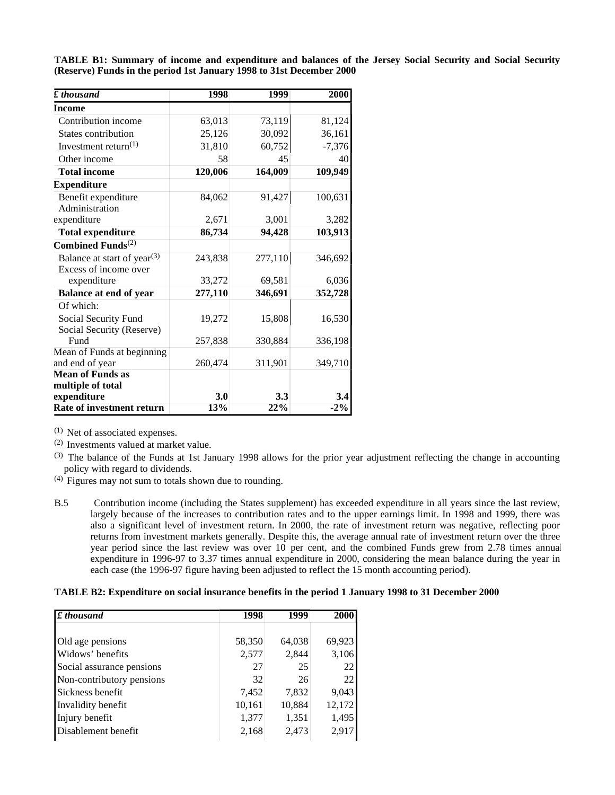| $\boldsymbol{\ell}$ thousand            | 1998    | 1999    | 2000     |
|-----------------------------------------|---------|---------|----------|
| Income                                  |         |         |          |
| Contribution income                     | 63,013  | 73,119  | 81,124   |
| <b>States contribution</b>              | 25,126  | 30,092  | 36,161   |
| Investment return $(1)$                 | 31,810  | 60,752  | $-7,376$ |
| Other income                            | 58      | 45      | 40       |
| <b>Total income</b>                     | 120,006 | 164,009 | 109,949  |
| <b>Expenditure</b>                      |         |         |          |
| Benefit expenditure                     | 84,062  | 91,427  | 100,631  |
| Administration                          |         |         |          |
| expenditure                             | 2,671   | 3,001   | 3,282    |
| <b>Total expenditure</b>                | 86,734  | 94,428  | 103,913  |
| Combined Funds $(2)$                    |         |         |          |
| Balance at start of year <sup>(3)</sup> | 243,838 | 277,110 | 346,692  |
| Excess of income over                   |         |         |          |
| expenditure                             | 33,272  | 69,581  | 6,036    |
| <b>Balance at end of year</b>           | 277,110 | 346,691 | 352,728  |
| Of which:                               |         |         |          |
| Social Security Fund                    | 19,272  | 15,808  | 16,530   |
| Social Security (Reserve)               |         |         |          |
| Fund                                    | 257,838 | 330,884 | 336,198  |
| Mean of Funds at beginning              |         |         |          |
| and end of year                         | 260,474 | 311,901 | 349,710  |
| <b>Mean of Funds as</b>                 |         |         |          |
| multiple of total                       |         |         |          |
| expenditure                             | 3.0     | 3.3     | 3.4      |
| Rate of investment return               | 13%     | 22%     | $-2\%$   |

**TABLE B1: Summary of income and expenditure and balances of the Jersey Social Security and Social Security (Reserve) Funds in the period 1st January 1998 to 31st December 2000**

(1) Net of associated expenses.

(2) Investments valued at market value.

- (3) The balance of the Funds at 1st January 1998 allows for the prior year adjustment reflecting the change in accounting policy with regard to dividends.
- (4) Figures may not sum to totals shown due to rounding.
- B.5 Contribution income (including the States supplement) has exceeded expenditure in all years since the last review, largely because of the increases to contribution rates and to the upper earnings limit. In 1998 and 1999, there was also a significant level of investment return. In 2000, the rate of investment return was negative, reflecting poor returns from investment markets generally. Despite this, the average annual rate of investment return over the three year period since the last review was over 10 per cent, and the combined Funds grew from 2.78 times annual expenditure in 1996-97 to 3.37 times annual expenditure in 2000, considering the mean balance during the year in each case (the 1996-97 figure having been adjusted to reflect the 15 month accounting period).

# **TABLE B2: Expenditure on social insurance benefits in the period 1 January 1998 to 31 December 2000**

| $\pounds$ thousand        | 1998   | 1999   | 2000   |
|---------------------------|--------|--------|--------|
| Old age pensions          | 58,350 | 64,038 | 69,923 |
| Widows' benefits          | 2,577  | 2,844  | 3,106  |
| Social assurance pensions | 27     | 25     | 22     |
| Non-contributory pensions | 32     | 26     | 22     |
| Sickness benefit          | 7,452  | 7,832  | 9,043  |
| Invalidity benefit        | 10,161 | 10,884 | 12,172 |
| Injury benefit            | 1,377  | 1,351  | 1,495  |
| Disablement benefit       | 2,168  | 2,473  | 2,917  |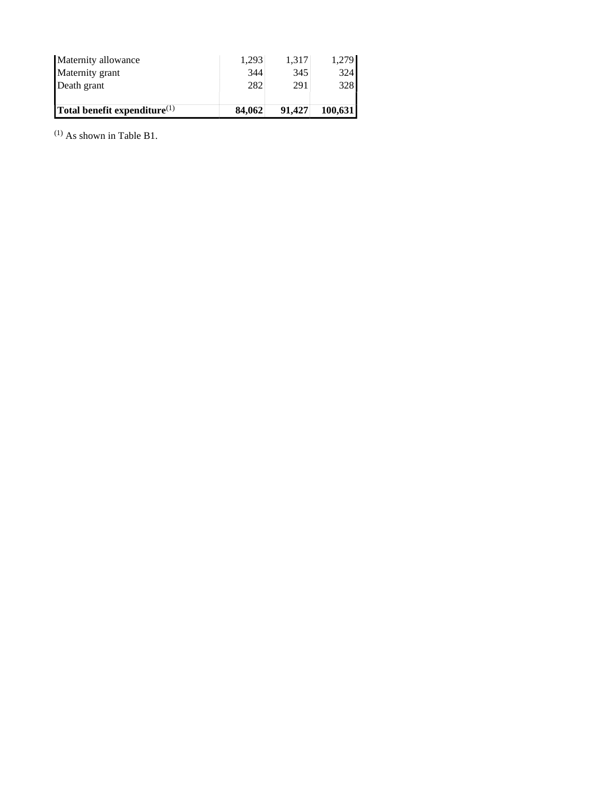| Maternity allowance             | 1.293  | 1.317  | 1,279   |
|---------------------------------|--------|--------|---------|
| Maternity grant                 | 344    | 345    | 324     |
| Death grant                     | 282    | 291    | 328     |
| Total benefit expenditure $(1)$ | 84,062 | 91.427 | 100,631 |

(1) As shown in Table B1.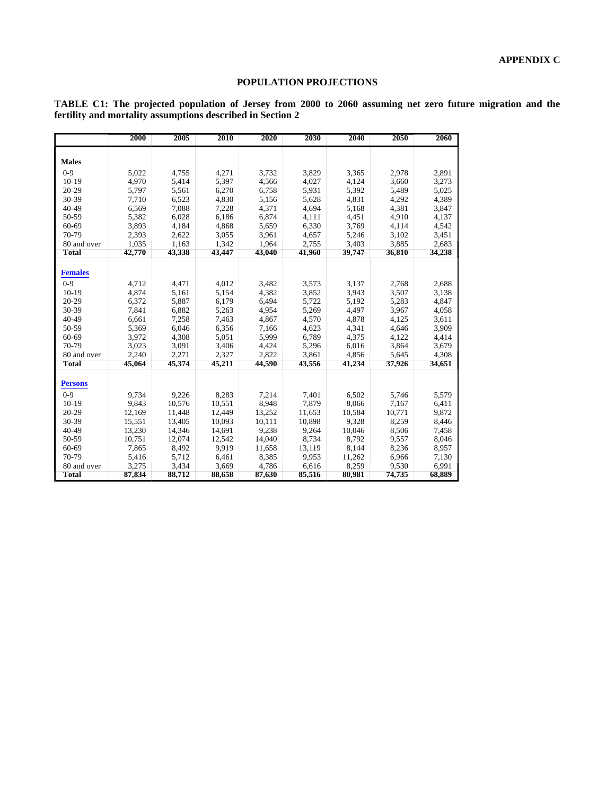# **POPULATION PROJECTIONS**

| TABLE C1: The projected population of Jersey from 2000 to 2060 assuming net zero future migration and the |  |  |  |  |  |  |  |  |
|-----------------------------------------------------------------------------------------------------------|--|--|--|--|--|--|--|--|
| fertility and mortality assumptions described in Section 2                                                |  |  |  |  |  |  |  |  |

|                | 2000   | 2005   | 2010   | 2020   | 2030   | 2040   | 2050   | 2060   |
|----------------|--------|--------|--------|--------|--------|--------|--------|--------|
|                |        |        |        |        |        |        |        |        |
| <b>Males</b>   |        |        |        |        |        |        |        |        |
| $0 - 9$        | 5,022  | 4,755  | 4,271  | 3.732  | 3,829  | 3,365  | 2,978  | 2,891  |
| $10-19$        | 4,970  | 5,414  | 5,397  | 4,566  | 4,027  | 4,124  | 3,660  | 3,273  |
| $20 - 29$      | 5,797  | 5,561  | 6,270  | 6,758  | 5,931  | 5,392  | 5,489  | 5,025  |
| 30-39          | 7,710  | 6,523  | 4,830  | 5,156  | 5,628  | 4,831  | 4,292  | 4,389  |
| $40 - 49$      | 6,569  | 7,088  | 7,228  | 4,371  | 4,694  | 5,168  | 4,381  | 3,847  |
| 50-59          | 5,382  | 6,028  | 6,186  | 6,874  | 4,111  | 4,451  | 4,910  | 4,137  |
| 60-69          | 3,893  | 4,184  | 4,868  | 5,659  | 6,330  | 3,769  | 4,114  | 4,542  |
| 70-79          | 2,393  | 2,622  | 3,055  | 3,961  | 4,657  | 5,246  | 3,102  | 3,451  |
| 80 and over    | 1,035  | 1,163  | 1.342  | 1,964  | 2,755  | 3,403  | 3,885  | 2,683  |
| <b>Total</b>   | 42,770 | 43,338 | 43,447 | 43,040 | 41,960 | 39,747 | 36,810 | 34,238 |
|                |        |        |        |        |        |        |        |        |
| <b>Females</b> |        |        |        |        |        |        |        |        |
| $0 - 9$        | 4,712  | 4,471  | 4,012  | 3,482  | 3,573  | 3,137  | 2,768  | 2,688  |
| $10-19$        | 4.874  | 5,161  | 5.154  | 4,382  | 3,852  | 3,943  | 3,507  | 3,138  |
| $20 - 29$      | 6,372  | 5,887  | 6,179  | 6,494  | 5,722  | 5,192  | 5,283  | 4,847  |
| 30-39          | 7,841  | 6,882  | 5,263  | 4,954  | 5,269  | 4,497  | 3,967  | 4,058  |
| $40 - 49$      | 6,661  | 7,258  | 7,463  | 4,867  | 4,570  | 4,878  | 4,125  | 3,611  |
| 50-59          | 5,369  | 6,046  | 6,356  | 7,166  | 4,623  | 4,341  | 4,646  | 3,909  |
| 60-69          | 3,972  | 4,308  | 5,051  | 5,999  | 6,789  | 4,375  | 4,122  | 4,414  |
| 70-79          | 3,023  | 3,091  | 3,406  | 4,424  | 5,296  | 6,016  | 3,864  | 3,679  |
| 80 and over    | 2,240  | 2,271  | 2,327  | 2,822  | 3,861  | 4,856  | 5,645  | 4,308  |
| <b>Total</b>   | 45,064 | 45,374 | 45,211 | 44,590 | 43,556 | 41,234 | 37,926 | 34,651 |
|                |        |        |        |        |        |        |        |        |
| <b>Persons</b> |        |        |        |        |        |        |        |        |
| $0 - 9$        | 9,734  | 9,226  | 8,283  | 7,214  | 7,401  | 6,502  | 5,746  | 5,579  |
| $10-19$        | 9,843  | 10,576 | 10,551 | 8,948  | 7,879  | 8,066  | 7,167  | 6,411  |
| $20 - 29$      | 12,169 | 11,448 | 12,449 | 13,252 | 11,653 | 10,584 | 10,771 | 9,872  |
| 30-39          | 15,551 | 13,405 | 10,093 | 10,111 | 10,898 | 9,328  | 8,259  | 8,446  |
| 40-49          | 13,230 | 14,346 | 14,691 | 9,238  | 9,264  | 10,046 | 8,506  | 7,458  |
| 50-59          | 10,751 | 12,074 | 12,542 | 14,040 | 8,734  | 8.792  | 9,557  | 8,046  |
| 60-69          | 7,865  | 8.492  | 9.919  | 11,658 | 13,119 | 8.144  | 8,236  | 8,957  |
| 70-79          | 5,416  | 5,712  | 6,461  | 8,385  | 9,953  | 11,262 | 6,966  | 7,130  |
| 80 and over    | 3,275  | 3,434  | 3,669  | 4,786  | 6,616  | 8,259  | 9,530  | 6,991  |
| <b>Total</b>   | 87,834 | 88,712 | 88,658 | 87,630 | 85,516 | 80,981 | 74,735 | 68,889 |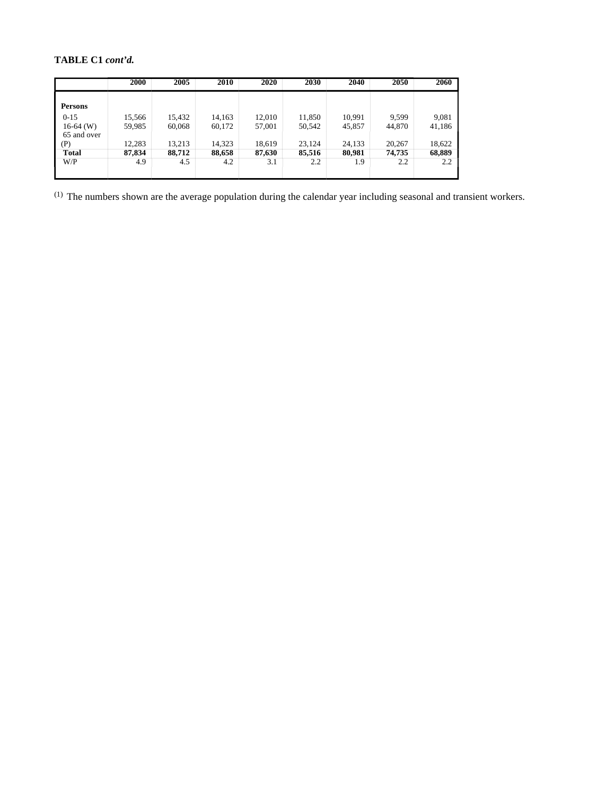# **TABLE C1** *cont'd.*

|                | 2000   | 2005   | 2010   | 2020   | 2030   | 2040   | 2050   | 2060   |
|----------------|--------|--------|--------|--------|--------|--------|--------|--------|
|                |        |        |        |        |        |        |        |        |
| <b>Persons</b> |        |        |        |        |        |        |        |        |
| $0 - 15$       | 15,566 | 15,432 | 14,163 | 12,010 | 11,850 | 10,991 | 9,599  | 9,081  |
| $16-64$ (W)    | 59,985 | 60,068 | 60,172 | 57,001 | 50,542 | 45,857 | 44,870 | 41,186 |
| 65 and over    |        |        |        |        |        |        |        |        |
| (P)            | 12,283 | 13,213 | 14,323 | 18,619 | 23,124 | 24,133 | 20,267 | 18,622 |
| <b>Total</b>   | 87,834 | 88,712 | 88,658 | 87,630 | 85,516 | 80,981 | 74,735 | 68,889 |
| W/P            | 4.9    | 4.5    | 4.2    | 3.1    | 2.2    | 1.9    | 2.2    | 2.2    |
|                |        |        |        |        |        |        |        |        |

(1) The numbers shown are the average population during the calendar year including seasonal and transient workers.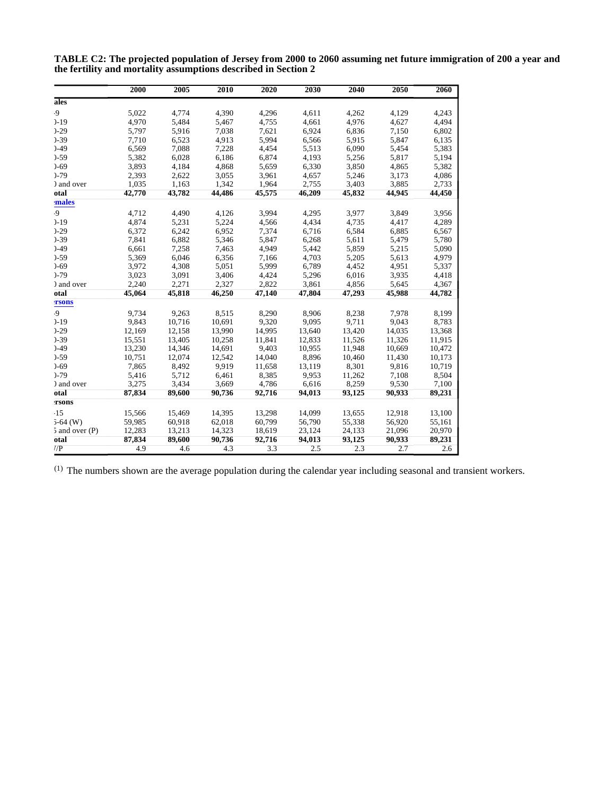|                    | 2000   | 2005   | 2010   | 2020   | 2030   | 2040   | 2050   | 2060   |
|--------------------|--------|--------|--------|--------|--------|--------|--------|--------|
| ales               |        |        |        |        |        |        |        |        |
| .9                 | 5,022  | 4,774  | 4,390  | 4,296  | 4,611  | 4,262  | 4,129  | 4,243  |
| $-19$              | 4,970  | 5,484  | 5,467  | 4,755  | 4,661  | 4,976  | 4,627  | 4,494  |
| $-29$              | 5,797  | 5,916  | 7,038  | 7,621  | 6,924  | 6,836  | 7,150  | 6,802  |
| $-39$              | 7,710  | 6,523  | 4,913  | 5,994  | 6,566  | 5,915  | 5,847  | 6,135  |
| $-49$              | 6,569  | 7,088  | 7,228  | 4,454  | 5,513  | 6,090  | 5,454  | 5,383  |
| $-59$              | 5,382  | 6,028  | 6,186  | 6,874  | 4,193  | 5,256  | 5,817  | 5,194  |
| $-69$              | 3,893  | 4,184  | 4,868  | 5,659  | 6,330  | 3,850  | 4,865  | 5,382  |
| $)-79$             | 2,393  | 2,622  | 3,055  | 3,961  | 4,657  | 5,246  | 3,173  | 4,086  |
| ) and over         | 1,035  | 1,163  | 1,342  | 1,964  | 2,755  | 3,403  | 3,885  | 2,733  |
| otal               | 42,770 | 43,782 | 44,486 | 45,575 | 46,209 | 45,832 | 44,945 | 44,450 |
| males              |        |        |        |        |        |        |        |        |
| .9                 | 4.712  | 4,490  | 4.126  | 3,994  | 4.295  | 3,977  | 3.849  | 3.956  |
| $-19$              | 4.874  | 5,231  | 5,224  | 4,566  | 4,434  | 4.735  | 4,417  | 4,289  |
| $-29$              | 6,372  | 6,242  | 6,952  | 7,374  | 6,716  | 6,584  | 6,885  | 6,567  |
| $-39$              | 7,841  | 6,882  | 5,346  | 5,847  | 6,268  | 5,611  | 5,479  | 5,780  |
| $-49$              | 6,661  | 7,258  | 7,463  | 4,949  | 5,442  | 5,859  | 5,215  | 5,090  |
| $-59$              | 5,369  | 6.046  | 6,356  | 7,166  | 4,703  | 5,205  | 5,613  | 4,979  |
| $-69$              | 3,972  | 4,308  | 5,051  | 5,999  | 6,789  | 4,452  | 4,951  | 5,337  |
| $-79$              | 3.023  | 3,091  | 3,406  | 4,424  | 5,296  | 6,016  | 3,935  | 4,418  |
| ) and over         | 2.240  | 2,271  | 2.327  | 2,822  | 3,861  | 4,856  | 5,645  | 4,367  |
| otal               | 45,064 | 45,818 | 46,250 | 47.140 | 47,804 | 47,293 | 45,988 | 44,782 |
| <b>TSONS</b>       |        |        |        |        |        |        |        |        |
| .9                 | 9,734  | 9,263  | 8,515  | 8,290  | 8,906  | 8.238  | 7.978  | 8,199  |
| $-19$              | 9,843  | 10.716 | 10,691 | 9,320  | 9,095  | 9,711  | 9,043  | 8,783  |
| $-29$              | 12,169 | 12,158 | 13,990 | 14,995 | 13,640 | 13,420 | 14,035 | 13,368 |
| $-39$              | 15,551 | 13,405 | 10,258 | 11,841 | 12,833 | 11,526 | 11,326 | 11,915 |
| $-49$              | 13,230 | 14,346 | 14,691 | 9,403  | 10,955 | 11,948 | 10,669 | 10,472 |
| $-59$              | 10,751 | 12,074 | 12.542 | 14,040 | 8,896  | 10,460 | 11,430 | 10,173 |
| $-69$              | 7,865  | 8,492  | 9,919  | 11,658 | 13,119 | 8.301  | 9,816  | 10,719 |
| $-79$              | 5,416  | 5,712  | 6,461  | 8,385  | 9,953  | 11,262 | 7,108  | 8,504  |
| ) and over         | 3,275  | 3,434  | 3,669  | 4,786  | 6,616  | 8,259  | 9,530  | 7,100  |
| otal               | 87,834 | 89,600 | 90,736 | 92,716 | 94.013 | 93,125 | 90.933 | 89,231 |
| rsons              |        |        |        |        |        |        |        |        |
| $-15$              | 15,566 | 15,469 | 14,395 | 13,298 | 14,099 | 13,655 | 12,918 | 13,100 |
| $5-64$ (W)         | 59,985 | 60,918 | 62,018 | 60,799 | 56,790 | 55,338 | 56,920 | 55,161 |
| $5$ and over $(P)$ | 12,283 | 13,213 | 14,323 | 18,619 | 23,124 | 24,133 | 21,096 | 20,970 |
| otal               | 87,834 | 89,600 | 90,736 | 92,716 | 94,013 | 93,125 | 90,933 | 89,231 |
| 7/P                | 4.9    | 4.6    | 4.3    | 3.3    | 2.5    | 2.3    | 2.7    | 2.6    |

**TABLE C2: The projected population of Jersey from 2000 to 2060 assuming net future immigration of 200 a year and the fertility and mortality assumptions described in Section 2**

(1) The numbers shown are the average population during the calendar year including seasonal and transient workers.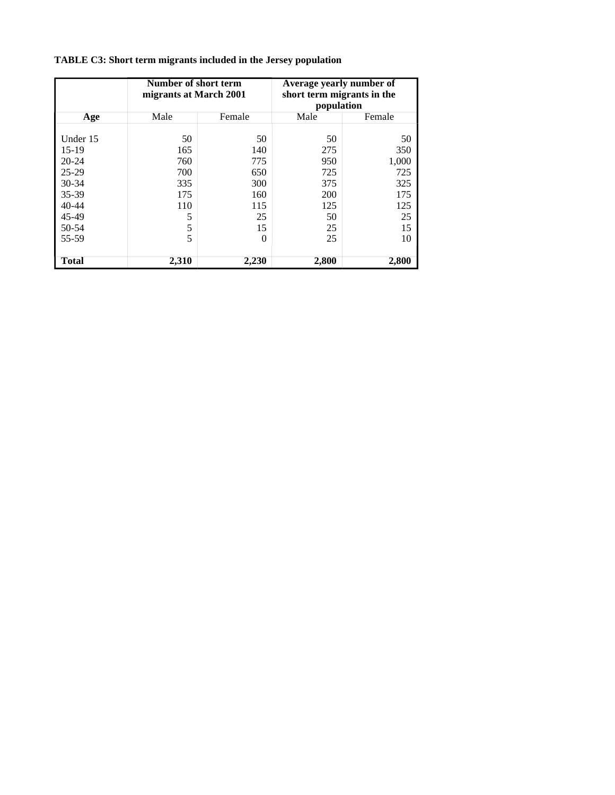|           | Number of short term<br>migrants at March 2001 |        | Average yearly number of<br>short term migrants in the<br>population |        |  |
|-----------|------------------------------------------------|--------|----------------------------------------------------------------------|--------|--|
| Age       | Male                                           | Female | Male                                                                 | Female |  |
| Under 15  | 50                                             | 50     | 50                                                                   | 50     |  |
| 15-19     | 165                                            | 140    | 275                                                                  | 350    |  |
| $20 - 24$ | 760                                            | 775    | 950                                                                  | 1,000  |  |
| $25-29$   | 700                                            | 650    | 725                                                                  | 725    |  |
| $30 - 34$ | 335                                            | 300    | 375                                                                  | 325    |  |
| 35-39     | 175                                            | 160    | 200                                                                  | 175    |  |
| $40 - 44$ | 110                                            | 115    | 125                                                                  | 125    |  |
| 45-49     | 5                                              | 25     | 50                                                                   | 25     |  |
| 50-54     | 5                                              | 15     | 25                                                                   | 15     |  |
| 55-59     | 5                                              | 0      | 25                                                                   | 10     |  |
| Total     | 2,310                                          | 2,230  | 2,800                                                                | 2,800  |  |

**TABLE C3: Short term migrants included in the Jersey population**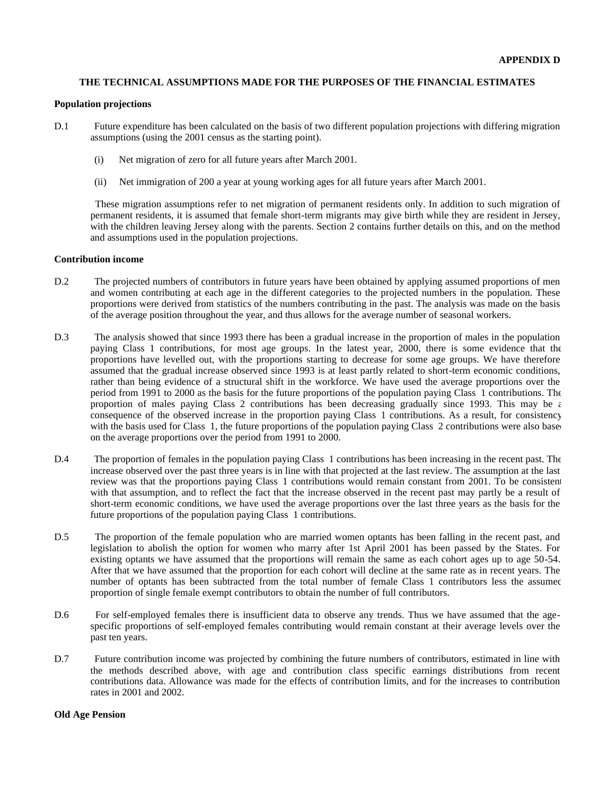#### **THE TECHNICAL ASSUMPTIONS MADE FOR THE PURPOSES OF THE FINANCIAL ESTIMATES**

#### **Population projections**

- D.1 Future expenditure has been calculated on the basis of two different population projections with differing migration assumptions (using the 2001 census as the starting point).
	- (i) Net migration of zero for all future years after March 2001.
	- (ii) Net immigration of 200 a year at young working ages for all future years after March 2001.

 These migration assumptions refer to net migration of permanent residents only. In addition to such migration of permanent residents, it is assumed that female short-term migrants may give birth while they are resident in Jersey, with the children leaving Jersey along with the parents. Section 2 contains further details on this, and on the method and assumptions used in the population projections.

### **Contribution income**

- D.2 The projected numbers of contributors in future years have been obtained by applying assumed proportions of men and women contributing at each age in the different categories to the projected numbers in the population. These proportions were derived from statistics of the numbers contributing in the past. The analysis was made on the basis of the average position throughout the year, and thus allows for the average number of seasonal workers.
- D.3 The analysis showed that since 1993 there has been a gradual increase in the proportion of males in the population paying Class 1 contributions, for most age groups. In the latest year, 2000, there is some evidence that the proportions have levelled out, with the proportions starting to decrease for some age groups. We have therefore assumed that the gradual increase observed since 1993 is at least partly related to short-term economic conditions, rather than being evidence of a structural shift in the workforce. We have used the average proportions over the period from 1991 to 2000 as the basis for the future proportions of the population paying Class 1 contributions. The proportion of males paying Class 2 contributions has been decreasing gradually since 1993. This may be  $\epsilon$ consequence of the observed increase in the proportion paying Class 1 contributions. As a result, for consistency with the basis used for Class 1, the future proportions of the population paying Class 2 contributions were also based on the average proportions over the period from 1991 to 2000.
- D.4 The proportion of females in the population paying Class 1 contributions has been increasing in the recent past. The increase observed over the past three years is in line with that projected at the last review. The assumption at the last review was that the proportions paying Class 1 contributions would remain constant from 2001. To be consistent with that assumption, and to reflect the fact that the increase observed in the recent past may partly be a result of short-term economic conditions, we have used the average proportions over the last three years as the basis for the future proportions of the population paying Class 1 contributions.
- D.5 The proportion of the female population who are married women optants has been falling in the recent past, and legislation to abolish the option for women who marry after 1st April 2001 has been passed by the States. For existing optants we have assumed that the proportions will remain the same as each cohort ages up to age 50-54. After that we have assumed that the proportion for each cohort will decline at the same rate as in recent years. The number of optants has been subtracted from the total number of female Class 1 contributors less the assumed proportion of single female exempt contributors to obtain the number of full contributors.
- D.6 For self-employed females there is insufficient data to observe any trends. Thus we have assumed that the agespecific proportions of self-employed females contributing would remain constant at their average levels over the past ten years.
- D.7 Future contribution income was projected by combining the future numbers of contributors, estimated in line with the methods described above, with age and contribution class specific earnings distributions from recent contributions data. Allowance was made for the effects of contribution limits, and for the increases to contribution rates in 2001 and 2002.

#### **Old Age Pension**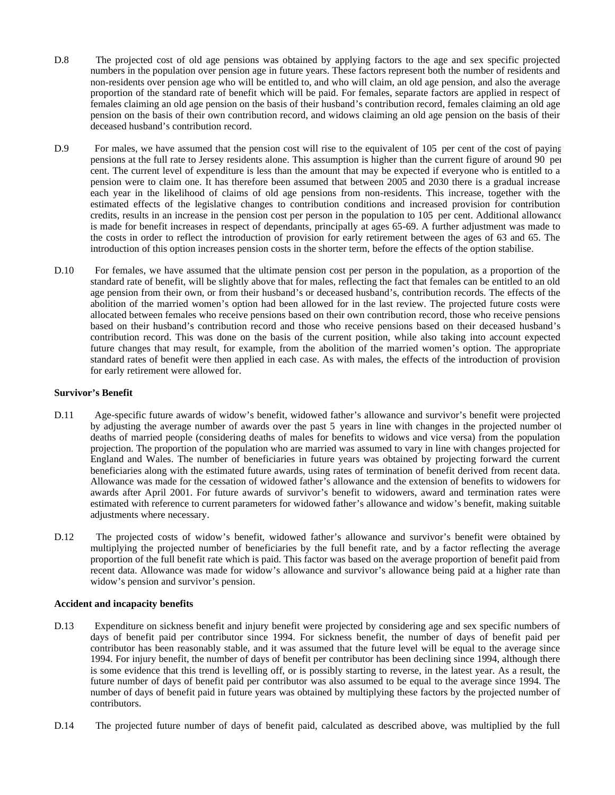- D.8 The projected cost of old age pensions was obtained by applying factors to the age and sex specific projected numbers in the population over pension age in future years. These factors represent both the number of residents and non-residents over pension age who will be entitled to, and who will claim, an old age pension, and also the average proportion of the standard rate of benefit which will be paid. For females, separate factors are applied in respect of females claiming an old age pension on the basis of their husband's contribution record, females claiming an old age pension on the basis of their own contribution record, and widows claiming an old age pension on the basis of their deceased husband's contribution record.
- D.9 For males, we have assumed that the pension cost will rise to the equivalent of 105 per cent of the cost of paying pensions at the full rate to Jersey residents alone. This assumption is higher than the current figure of around 90 per cent. The current level of expenditure is less than the amount that may be expected if everyone who is entitled to a pension were to claim one. It has therefore been assumed that between 2005 and 2030 there is a gradual increase each year in the likelihood of claims of old age pensions from non-residents. This increase, together with the estimated effects of the legislative changes to contribution conditions and increased provision for contribution credits, results in an increase in the pension cost per person in the population to 105 per cent. Additional allowance is made for benefit increases in respect of dependants, principally at ages 65-69. A further adjustment was made to the costs in order to reflect the introduction of provision for early retirement between the ages of 63 and 65. The introduction of this option increases pension costs in the shorter term, before the effects of the option stabilise.
- D.10 For females, we have assumed that the ultimate pension cost per person in the population, as a proportion of the standard rate of benefit, will be slightly above that for males, reflecting the fact that females can be entitled to an old age pension from their own, or from their husband's or deceased husband's, contribution records. The effects of the abolition of the married women's option had been allowed for in the last review. The projected future costs were allocated between females who receive pensions based on their own contribution record, those who receive pensions based on their husband's contribution record and those who receive pensions based on their deceased husband's contribution record. This was done on the basis of the current position, while also taking into account expected future changes that may result, for example, from the abolition of the married women's option. The appropriate standard rates of benefit were then applied in each case. As with males, the effects of the introduction of provision for early retirement were allowed for.

#### **Survivor's Benefit**

- D.11 Age-specific future awards of widow's benefit, widowed father's allowance and survivor's benefit were projected by adjusting the average number of awards over the past 5 years in line with changes in the projected number of deaths of married people (considering deaths of males for benefits to widows and vice versa) from the population projection. The proportion of the population who are married was assumed to vary in line with changes projected for England and Wales. The number of beneficiaries in future years was obtained by projecting forward the current beneficiaries along with the estimated future awards, using rates of termination of benefit derived from recent data. Allowance was made for the cessation of widowed father's allowance and the extension of benefits to widowers for awards after April 2001. For future awards of survivor's benefit to widowers, award and termination rates were estimated with reference to current parameters for widowed father's allowance and widow's benefit, making suitable adjustments where necessary.
- D.12 The projected costs of widow's benefit, widowed father's allowance and survivor's benefit were obtained by multiplying the projected number of beneficiaries by the full benefit rate, and by a factor reflecting the average proportion of the full benefit rate which is paid. This factor was based on the average proportion of benefit paid from recent data. Allowance was made for widow's allowance and survivor's allowance being paid at a higher rate than widow's pension and survivor's pension.

#### **Accident and incapacity benefits**

- D.13 Expenditure on sickness benefit and injury benefit were projected by considering age and sex specific numbers of days of benefit paid per contributor since 1994. For sickness benefit, the number of days of benefit paid per contributor has been reasonably stable, and it was assumed that the future level will be equal to the average since 1994. For injury benefit, the number of days of benefit per contributor has been declining since 1994, although there is some evidence that this trend is levelling off, or is possibly starting to reverse, in the latest year. As a result, the future number of days of benefit paid per contributor was also assumed to be equal to the average since 1994. The number of days of benefit paid in future years was obtained by multiplying these factors by the projected number of contributors.
- D.14 The projected future number of days of benefit paid, calculated as described above, was multiplied by the full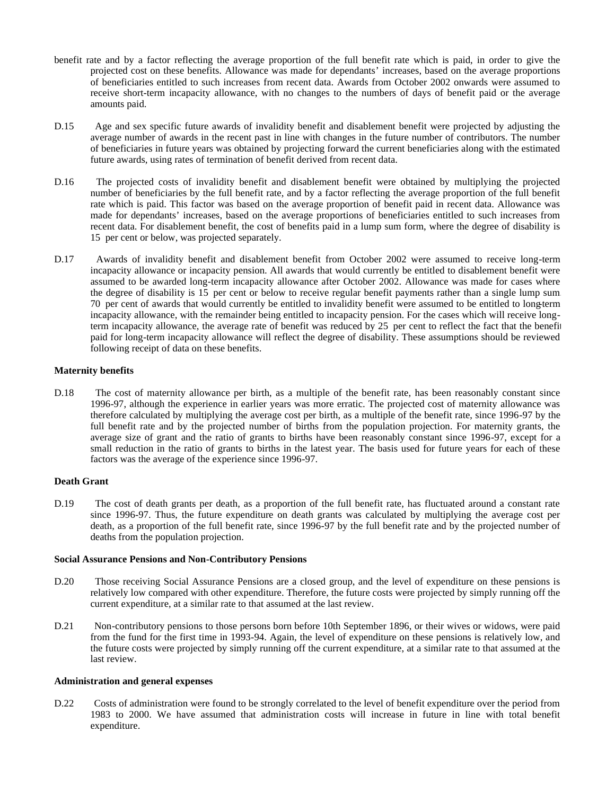- benefit rate and by a factor reflecting the average proportion of the full benefit rate which is paid, in order to give the projected cost on these benefits. Allowance was made for dependants' increases, based on the average proportions of beneficiaries entitled to such increases from recent data. Awards from October 2002 onwards were assumed to receive short-term incapacity allowance, with no changes to the numbers of days of benefit paid or the average amounts paid.
- D.15 Age and sex specific future awards of invalidity benefit and disablement benefit were projected by adjusting the average number of awards in the recent past in line with changes in the future number of contributors. The number of beneficiaries in future years was obtained by projecting forward the current beneficiaries along with the estimated future awards, using rates of termination of benefit derived from recent data.
- D.16 The projected costs of invalidity benefit and disablement benefit were obtained by multiplying the projected number of beneficiaries by the full benefit rate, and by a factor reflecting the average proportion of the full benefit rate which is paid. This factor was based on the average proportion of benefit paid in recent data. Allowance was made for dependants' increases, based on the average proportions of beneficiaries entitled to such increases from recent data. For disablement benefit, the cost of benefits paid in a lump sum form, where the degree of disability is 15 per cent or below, was projected separately.
- D.17 Awards of invalidity benefit and disablement benefit from October 2002 were assumed to receive long-term incapacity allowance or incapacity pension. All awards that would currently be entitled to disablement benefit were assumed to be awarded long-term incapacity allowance after October 2002. Allowance was made for cases where the degree of disability is 15 per cent or below to receive regular benefit payments rather than a single lump sum. 70 per cent of awards that would currently be entitled to invalidity benefit were assumed to be entitled to long-term incapacity allowance, with the remainder being entitled to incapacity pension. For the cases which will receive longterm incapacity allowance, the average rate of benefit was reduced by 25 per cent to reflect the fact that the benefit paid for long-term incapacity allowance will reflect the degree of disability. These assumptions should be reviewed following receipt of data on these benefits.

#### **Maternity benefits**

D.18 The cost of maternity allowance per birth, as a multiple of the benefit rate, has been reasonably constant since 1996-97, although the experience in earlier years was more erratic. The projected cost of maternity allowance was therefore calculated by multiplying the average cost per birth, as a multiple of the benefit rate, since 1996-97 by the full benefit rate and by the projected number of births from the population projection. For maternity grants, the average size of grant and the ratio of grants to births have been reasonably constant since 1996-97, except for a small reduction in the ratio of grants to births in the latest year. The basis used for future years for each of these factors was the average of the experience since 1996-97.

# **Death Grant**

D.19 The cost of death grants per death, as a proportion of the full benefit rate, has fluctuated around a constant rate since 1996-97. Thus, the future expenditure on death grants was calculated by multiplying the average cost per death, as a proportion of the full benefit rate, since 1996-97 by the full benefit rate and by the projected number of deaths from the population projection.

#### **Social Assurance Pensions and Non-Contributory Pensions**

- D.20 Those receiving Social Assurance Pensions are a closed group, and the level of expenditure on these pensions is relatively low compared with other expenditure. Therefore, the future costs were projected by simply running off the current expenditure, at a similar rate to that assumed at the last review.
- D.21 Non-contributory pensions to those persons born before 10th September 1896, or their wives or widows, were paid from the fund for the first time in 1993-94. Again, the level of expenditure on these pensions is relatively low, and the future costs were projected by simply running off the current expenditure, at a similar rate to that assumed at the last review.

#### **Administration and general expenses**

D.22 Costs of administration were found to be strongly correlated to the level of benefit expenditure over the period from 1983 to 2000. We have assumed that administration costs will increase in future in line with total benefit expenditure.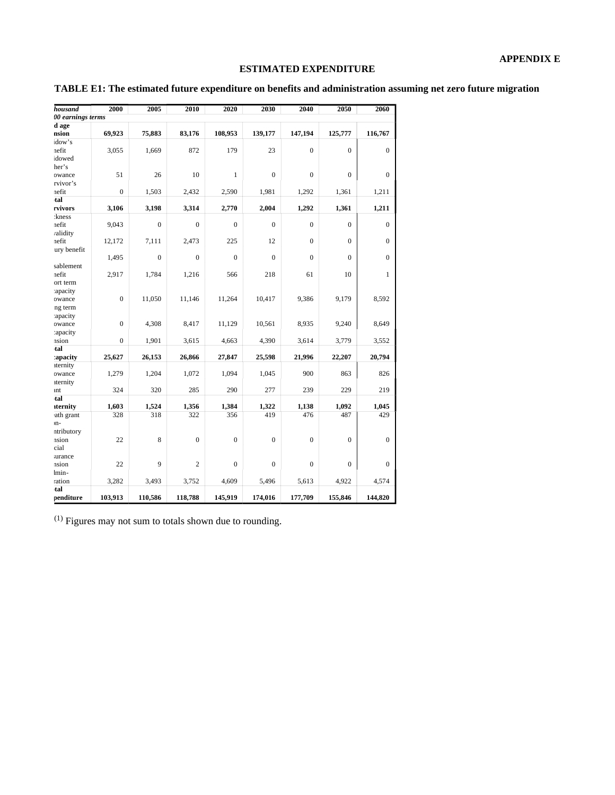# **ESTIMATED EXPENDITURE**

| TABLE E1: The estimated future expenditure on benefits and administration assuming net zero future migration |  |  |
|--------------------------------------------------------------------------------------------------------------|--|--|

| housand           | 2000           | 2005           | 2010           | 2020           | 2030           | 2040             | 2050           | 2060         |
|-------------------|----------------|----------------|----------------|----------------|----------------|------------------|----------------|--------------|
| 00 earnings terms |                |                |                |                |                |                  |                |              |
| d age             |                |                |                |                |                |                  |                |              |
| nsion             | 69,923         | 75,883         | 83,176         | 108,953        | 139,177        | 147,194          | 125,777        | 116,767      |
| idow's            |                |                |                |                |                |                  |                |              |
| nefit             | 3,055          | 1,669          | 872            | 179            | 23             | $\mathbf{0}$     | $\Omega$       | $\mathbf{0}$ |
| idowed            |                |                |                |                |                |                  |                |              |
| her's             |                |                |                |                |                |                  |                |              |
| owance            | 51             | 26             | 10             | $\mathbf{1}$   | $\overline{0}$ | $\mathbf{0}$     | $\Omega$       | $\Omega$     |
| rvivor's          |                |                |                |                |                |                  |                |              |
| nefit             | $\overline{0}$ | 1,503          | 2,432          | 2,590          | 1,981          | 1,292            | 1,361          | 1,211        |
| tal               |                |                |                |                |                |                  |                |              |
| rvivors           | 3,106          | 3,198          | 3,314          | 2,770          | 2,004          | 1,292            | 1,361          | 1,211        |
| :kness            |                |                |                |                |                |                  |                |              |
| nefit             | 9,043          | $\overline{0}$ | $\mathbf{0}$   | $\mathbf{0}$   | $\overline{0}$ | $\boldsymbol{0}$ | $\overline{0}$ | $\mathbf{0}$ |
| /alidity          |                |                |                |                |                |                  |                |              |
| nefit             | 12,172         | 7,111          | 2,473          | 225            | 12             | $\theta$         | $\Omega$       | $\Omega$     |
| ury benefit       |                |                |                |                |                |                  |                |              |
|                   | 1,495          | $\theta$       | $\theta$       | $\overline{0}$ | $\theta$       | $\overline{0}$   | $\Omega$       | $\Omega$     |
| sablement         |                |                |                |                |                |                  |                |              |
| nefit             | 2,917          | 1,784          | 1,216          | 566            | 218            | 61               | 10             | 1            |
| ort term          |                |                |                |                |                |                  |                |              |
| apacity           |                |                |                |                |                |                  |                |              |
| owance            | $\mathbf{0}$   | 11,050         | 11,146         | 11,264         | 10,417         | 9,386            | 9,179          | 8,592        |
| ng term           |                |                |                |                |                |                  |                |              |
| apacity           |                |                |                |                |                |                  |                |              |
| owance            | $\mathbf{0}$   | 4,308          | 8,417          | 11,129         | 10,561         | 8,935            | 9,240          | 8,649        |
| :apacity          |                |                |                |                |                |                  |                |              |
| nsion             | $\mathbf{0}$   | 1,901          | 3,615          | 4,663          | 4,390          | 3,614            | 3,779          | 3,552        |
| tal               |                |                |                |                |                |                  |                |              |
| :apacity          | 25,627         | 26,153         | 26,866         | 27,847         | 25,598         | 21,996           | 22,207         | 20,794       |
| aternity          |                |                |                |                |                |                  |                |              |
| owance            | 1,279          | 1,204          | 1,072          | 1,094          | 1,045          | 900              | 863            | 826          |
| aternity          |                |                |                |                |                |                  |                |              |
| unt               | 324            | 320            | 285            | 290            | 277            | 239              | 229            | 219          |
| tal               |                |                |                |                |                |                  |                |              |
| aternity          | 1,603          | 1,524          | 1,356          | 1,384          | 1,322          | 1,138            | 1,092          | 1,045        |
| ath grant         | 328            | 318            | 322            | 356            | 419            | 476              | 487            | 429          |
| ın-               |                |                |                |                |                |                  |                |              |
| ntributory        |                |                |                |                |                |                  |                |              |
| nsion             | 22             | 8              | $\mathbf{0}$   | $\overline{0}$ | $\overline{0}$ | $\mathbf{0}$     | $\Omega$       | $\Omega$     |
| cial              |                |                |                |                |                |                  |                |              |
| aurance           |                |                |                |                |                |                  |                |              |
| nsion             | 22             | 9              | $\overline{c}$ | $\overline{0}$ | $\overline{0}$ | $\overline{0}$   | $\mathbf{0}$   | $\mathbf{0}$ |
| lmin-             |                |                |                |                |                |                  |                |              |
| ration            | 3,282          | 3,493          | 3,752          | 4,609          | 5,496          | 5,613            | 4,922          | 4,574        |
| tal               |                |                |                |                |                |                  |                |              |
| penditure         | 103,913        | 110,586        | 118,788        | 145,919        | 174,016        | 177,709          | 155,846        | 144,820      |

(1) Figures may not sum to totals shown due to rounding.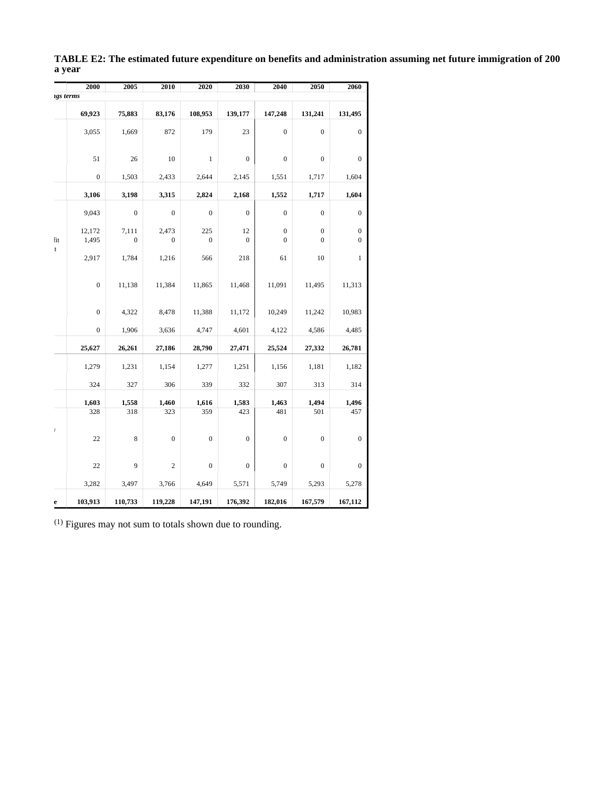|                    | 2000             | 2005                      | 2010                      | 2020                    | 2030                 | 2040                             | 2050                             | 2060                                 |
|--------------------|------------------|---------------------------|---------------------------|-------------------------|----------------------|----------------------------------|----------------------------------|--------------------------------------|
| igs terms          |                  |                           |                           |                         |                      |                                  |                                  |                                      |
|                    | 69,923           | 75,883                    | 83,176                    | 108,953                 | 139,177              | 147,248                          | 131,241                          | 131,495                              |
|                    | 3,055            | 1,669                     | 872                       | 179                     | 23                   | $\boldsymbol{0}$                 | $\boldsymbol{0}$                 | $\boldsymbol{0}$                     |
|                    | 51               | 26                        | 10                        | $\mathbf{1}$            | $\boldsymbol{0}$     | $\boldsymbol{0}$                 | $\boldsymbol{0}$                 | $\boldsymbol{0}$                     |
|                    | $\boldsymbol{0}$ | 1,503                     | 2,433                     | 2,644                   | 2,145                | 1,551                            | 1,717                            | 1,604                                |
|                    | 3,106            | 3,198                     | 3,315                     | 2,824                   | 2,168                | 1,552                            | 1,717                            | 1,604                                |
|                    | 9,043            | $\boldsymbol{0}$          | $\boldsymbol{0}$          | $\boldsymbol{0}$        | $\boldsymbol{0}$     | $\mathbf{0}$                     | $\boldsymbol{0}$                 | $\boldsymbol{0}$                     |
| fit<br>$\mathbf t$ | 12,172<br>1,495  | 7,111<br>$\boldsymbol{0}$ | 2,473<br>$\boldsymbol{0}$ | 225<br>$\boldsymbol{0}$ | 12<br>$\overline{0}$ | $\boldsymbol{0}$<br>$\mathbf{0}$ | $\boldsymbol{0}$<br>$\mathbf{0}$ | $\boldsymbol{0}$<br>$\boldsymbol{0}$ |
|                    | 2,917            | 1,784                     | 1,216                     | 566                     | 218                  | 61                               | 10                               | $\mathbf{1}$                         |
|                    | $\boldsymbol{0}$ | 11,138                    | 11,384                    | 11,865                  | 11,468               | 11,091                           | 11,495                           | 11,313                               |
|                    | $\mathbf{0}$     | 4,322                     | 8,478                     | 11,388                  | 11,172               | 10,249                           | 11,242                           | 10,983                               |
|                    | $\boldsymbol{0}$ | 1,906                     | 3,636                     | 4,747                   | 4,601                | 4,122                            | 4,586                            | 4,485                                |
|                    | 25,627           | 26,261                    | 27,186                    | 28,790                  | 27,471               | 25,524                           | 27,332                           | 26,781                               |
|                    | 1,279            | 1,231                     | 1,154                     | 1,277                   | 1,251                | 1,156                            | 1,181                            | 1,182                                |
|                    | 324              | 327                       | 306                       | 339                     | 332                  | 307                              | 313                              | 314                                  |
|                    | 1,603<br>328     | 1,558<br>318              | 1,460<br>323              | 1,616<br>359            | 1,583<br>423         | 1,463<br>481                     | 1,494<br>501                     | 1,496<br>457                         |
| $\bar{l}$          | 22               | $\,$ 8 $\,$               | $\boldsymbol{0}$          | $\boldsymbol{0}$        | $\boldsymbol{0}$     | $\boldsymbol{0}$                 | $\boldsymbol{0}$                 | $\boldsymbol{0}$                     |
|                    | 22               | 9                         | $\overline{c}$            | $\boldsymbol{0}$        | $\boldsymbol{0}$     | $\boldsymbol{0}$                 | $\boldsymbol{0}$                 | $\boldsymbol{0}$                     |
|                    | 3,282            | 3,497                     | 3,766                     | 4,649                   | 5,571                | 5,749                            | 5,293                            | 5,278                                |
| e                  | 103,913          | 110,733                   | 119,228                   | 147,191                 | 176,392              | 182,016                          | 167,579                          | 167,112                              |

**TABLE E2: The estimated future expenditure on benefits and administration assuming net future immigration of 200 a year**

(1) Figures may not sum to totals shown due to rounding.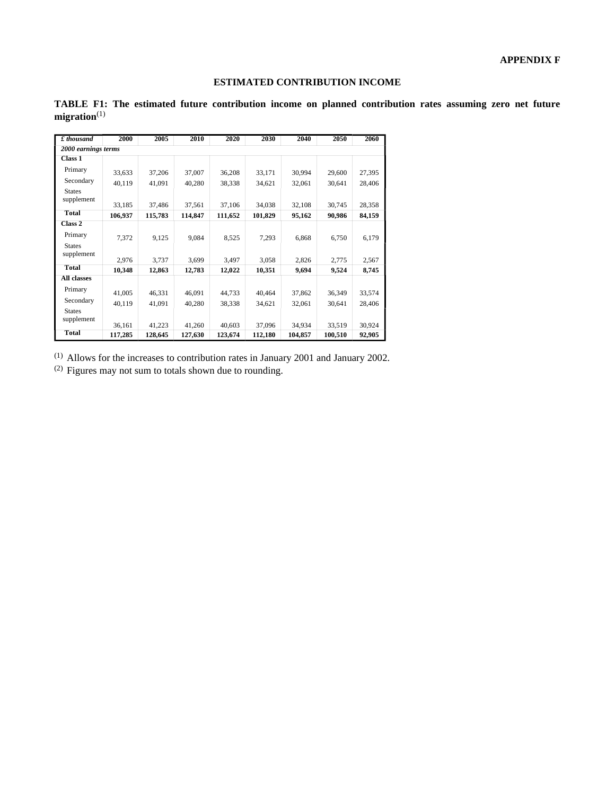### **ESTIMATED CONTRIBUTION INCOME**

| $\pounds$ thousand          | 2000    | 2005    | 2010    | 2020    | 2030    | 2040    | 2050    | 2060   |  |  |
|-----------------------------|---------|---------|---------|---------|---------|---------|---------|--------|--|--|
| 2000 earnings terms         |         |         |         |         |         |         |         |        |  |  |
| Class 1                     |         |         |         |         |         |         |         |        |  |  |
| Primary                     | 33,633  | 37,206  | 37,007  | 36,208  | 33,171  | 30,994  | 29,600  | 27,395 |  |  |
| Secondary                   | 40,119  | 41,091  | 40,280  | 38,338  | 34,621  | 32,061  | 30,641  | 28,406 |  |  |
| <b>States</b><br>supplement |         |         |         |         |         |         |         |        |  |  |
| <b>Total</b>                | 33,185  | 37,486  | 37,561  | 37,106  | 34,038  | 32,108  | 30,745  | 28,358 |  |  |
|                             | 106,937 | 115,783 | 114,847 | 111,652 | 101,829 | 95,162  | 90,986  | 84,159 |  |  |
| Class 2                     |         |         |         |         |         |         |         |        |  |  |
| Primary                     | 7,372   | 9,125   | 9,084   | 8,525   | 7,293   | 6,868   | 6,750   | 6,179  |  |  |
| <b>States</b><br>supplement |         |         |         |         |         |         |         |        |  |  |
|                             | 2,976   | 3,737   | 3,699   | 3,497   | 3,058   | 2,826   | 2,775   | 2,567  |  |  |
| <b>Total</b>                | 10,348  | 12,863  | 12,783  | 12,022  | 10,351  | 9,694   | 9,524   | 8,745  |  |  |
| All classes                 |         |         |         |         |         |         |         |        |  |  |
| Primary                     | 41,005  | 46,331  | 46,091  | 44,733  | 40,464  | 37,862  | 36,349  | 33,574 |  |  |
| Secondary                   | 40,119  | 41,091  | 40,280  | 38,338  | 34,621  | 32,061  | 30,641  | 28,406 |  |  |
| <b>States</b><br>supplement |         |         |         |         |         |         |         |        |  |  |
|                             | 36,161  | 41,223  | 41,260  | 40,603  | 37,096  | 34,934  | 33,519  | 30,924 |  |  |
| <b>Total</b>                | 117,285 | 128,645 | 127,630 | 123,674 | 112,180 | 104,857 | 100,510 | 92,905 |  |  |

**TABLE F1: The estimated future contribution income on planned contribution rates assuming zero net future migration**(1)

(1) Allows for the increases to contribution rates in January 2001 and January 2002.

(2) Figures may not sum to totals shown due to rounding.